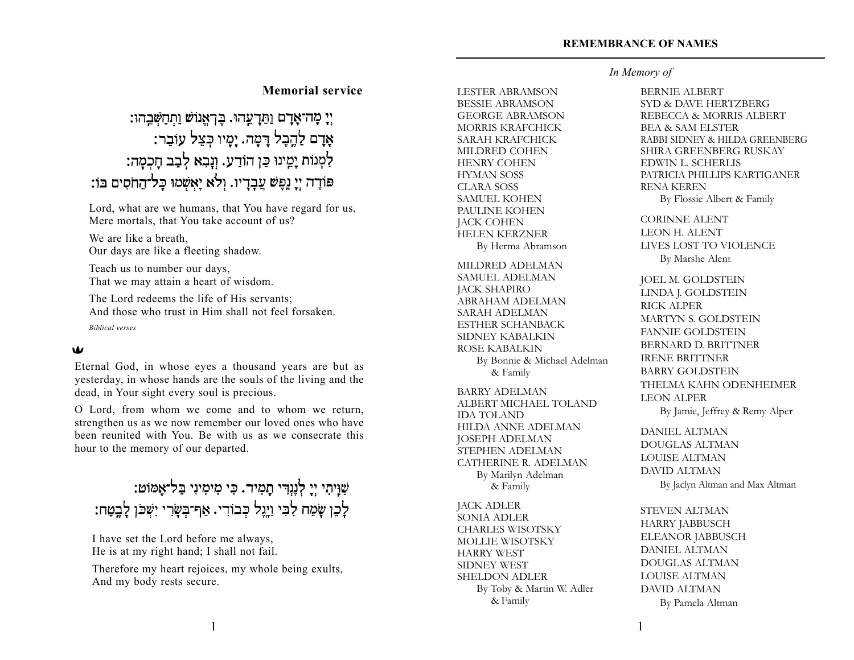## **Memorial service**

## יִי מָה־אַדָם וַתַּדְעֲהוּ. בִּרְאֲנוֹשׁ וַתְּחַשְּׁבֵהוּ: אָדָם לַהֶבָל דָמָה. יָמָיו כִּצֵל עוֹבָר: לִמְנוֹת יָמֵינוּ כֵּן הוֹדַע. וְנָבָא לְבַב חָכְמָה: פּוֹדֵה יְיָ נֵפֶשׁ עֲבָדֵיו. וְלֹא יֵאֲשְׁמוּ כָּל־הָחֹסִים בּוֹ:

Lord, what are we humans, that You have regard for us, Mere mortals, that You take account of us?

We are like a breath. Our days are like a fleeting shadow.

Teach us to number our days, That we may attain a heart of wisdom.

The Lord redeems the life of His servants; And those who trust in Him shall not feel forsaken. *Biblical verses*

#### $\mathbf w$

Eternal God, in whose eyes a thousand years are but as yesterday, in whose hands are the souls of the living and the dead, in Your sight every soul is precious.

O Lord, from whom we come and to whom we return, strengthen us as we now remember our loved ones who have been reunited with You. Be with us as we consecrate this hour to the memory of our departed.

## שִׁוְּיִתִי יְיָ לְנֶגְדִּי תָמִיד. כִּי מִימִינִי בַּל־אֶמוֹט: לְכֵן שָׂמַח לִבִּי וַיָּנֶל כְּבוֹדִי. אַף־בְּשָׂרִי יִשְׁכּוְ לָבֶטַח:

I have set the Lord before me always, He is at my right hand; I shall not fail.

Therefore my heart rejoices, my whole being exults, And my body rests secure.

LESTER ABRAMSON BESSIE ABRAMSON GEORGE ABRAMSON MORRIS KRAFCHICK SARAH KRAFCHICK MILDRED COHEN HENRY COHEN HYMAN SOSS CLARA SOSS SAMUEL KOHEN PAULINE KOHEN JACK COHEN HELEN KERZNER By Herma Abramson

MILDRED ADELMAN SAMUEL ADELMAN JACK SHAPIRO ABRAHAM ADELMAN SARAH ADELMAN ESTHER SCHANBACK SIDNEY KABALKIN ROSE KABALKIN By Bonnie & Michael Adelman & Family

BARRY ADELMAN ALBERT MICHAEL TOLAND IDA TOLAND HILDA ANNE ADELMAN JOSEPH ADELMAN STEPHEN ADELMAN CATHERINE R. ADELMAN By Marilyn Adelman & Family

JACK ADLER SONIA ADLER CHARLES WISOTSKY MOLLIE WISOTSKY HARRY WEST SIDNEY WEST SHELDON ADLER By Toby & Martin W. Adler & Family

#### *In Memory of*

BERNIE ALBERT SYD & DAVE HERTZBERG REBECCA & MORRIS ALBERT BEA & SAM ELSTER RABBI SIDNEY & HILDA GREENBERG SHIRA GREENBERG RUSKAY EDWIN L. SCHERLIS PATRICIA PHILLIPS KARTIGANER RENA KEREN By Flossie Albert & Family CORINNE ALENT LEON H. ALENT LIVES LOST TO VIOLENCE By Marshe Alent

JOEL M. GOLDSTEIN LINDA J. GOLDSTEIN RICK ALPER MARTYN S. GOLDSTEIN FANNIE GOLDSTEIN BERNARD D. BRITTNER IRENE BRITTNER BARRY GOLDSTEIN THELMA KAHN ODENHEIMER LEON ALPER By Jamie, Jeffrey & Remy Alper

DANIEL ALTMAN DOUGLAS ALTMAN LOUISE ALTMAN DAVID ALTMAN By Jaclyn Altman and Max Altman

STEVEN ALTMAN HARRY JABBUSCH ELEANOR JABBUSCH DANIEL ALTMAN DOUGLAS ALTMAN LOUISE ALTMAN DAVID ALTMAN By Pamela Altman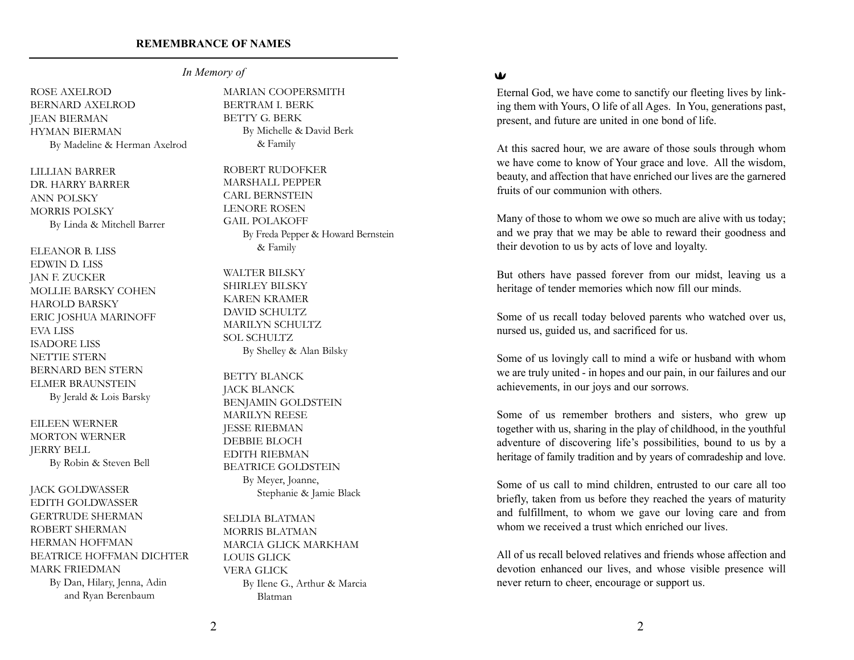*In Memory of*

ROSE AXELROD BERNARD AXELROD JEAN BIERMAN HYMAN BIERMAN By Madeline & Herman Axelrod

LILLIAN BARRER DR. HARRY BARRER ANN POLSKY MORRIS POLSKY By Linda & Mitchell Barrer

ELEANOR B. LISS EDWIN D. LISS JAN F. ZUCKER MOLLIE BARSKY COHEN HAROLD BARSKY ERIC JOSHUA MARINOFF EVA LISS ISADORE LISS NETTIE STERN BERNARD BEN STERN ELMER BRAUNSTEIN By Jerald & Lois Barsky

EILEEN WERNER MORTON WERNER JERRY BELL By Robin & Steven Bell

JACK GOLDWASSER EDITH GOLDWASSER GERTRUDE SHERMAN ROBERT SHERMAN HERMAN HOFFMAN BEATRICE HOFFMAN DICHTER MARK FRIEDMAN

> By Dan, Hilary, Jenna, Adin and Ryan Berenbaum

MARIAN COOPERSMITH BERTRAM I. BERK BETTY G. BERK By Michelle & David Berk & Family

ROBERT RUDOFKER MARSHALL PEPPER CARL BERNSTEIN LENORE ROSEN GAIL POLAKOFF By Freda Pepper & Howard Bernstein & Family

WALTER BILSKY SHIRLEY BILSKY KAREN KRAMER DAVID SCHULTZ MARILYN SCHULTZ SOL SCHULTZ By Shelley & Alan Bilsky

BETTY BLANCK JACK BLANCK BENJAMIN GOLDSTEIN MARILYN REESE JESSE RIEBMAN DEBBIE BLOCH EDITH RIEBMAN BEATRICE GOLDSTEIN By Meyer, Joanne, Stephanie & Jamie Black

SELDIA BLATMAN MORRIS BLATMAN MARCIA GLICK MARKHAM LOUIS GLICK VERA GLICK By Ilene G., Arthur & Marcia Blatman

#### W

Eternal God, we have come to sanctify our fleeting lives by linking them with Yours, O life of all Ages. In You, generations past, present, and future are united in one bond of life.

At this sacred hour, we are aware of those souls through whom we have come to know of Your grace and love. All the wisdom, beauty, and affection that have enriched our lives are the garnered fruits of our communion with others.

Many of those to whom we owe so much are alive with us today; and we pray that we may be able to reward their goodness and their devotion to us by acts of love and loyalty.

But others have passed forever from our midst, leaving us a heritage of tender memories which now fill our minds.

Some of us recall today beloved parents who watched over us, nursed us, guided us, and sacrificed for us.

Some of us lovingly call to mind a wife or husband with whom we are truly united - in hopes and our pain, in our failures and our achievements, in our joys and our sorrows.

Some of us remember brothers and sisters, who grew up together with us, sharing in the play of childhood, in the youthful adventure of discovering life's possibilities, bound to us by a heritage of family tradition and by years of comradeship and love.

Some of us call to mind children, entrusted to our care all too briefly, taken from us before they reached the years of maturity and fulfillment, to whom we gave our loving care and from whom we received a trust which enriched our lives.

All of us recall beloved relatives and friends whose affection and devotion enhanced our lives, and whose visible presence will never return to cheer, encourage or support us.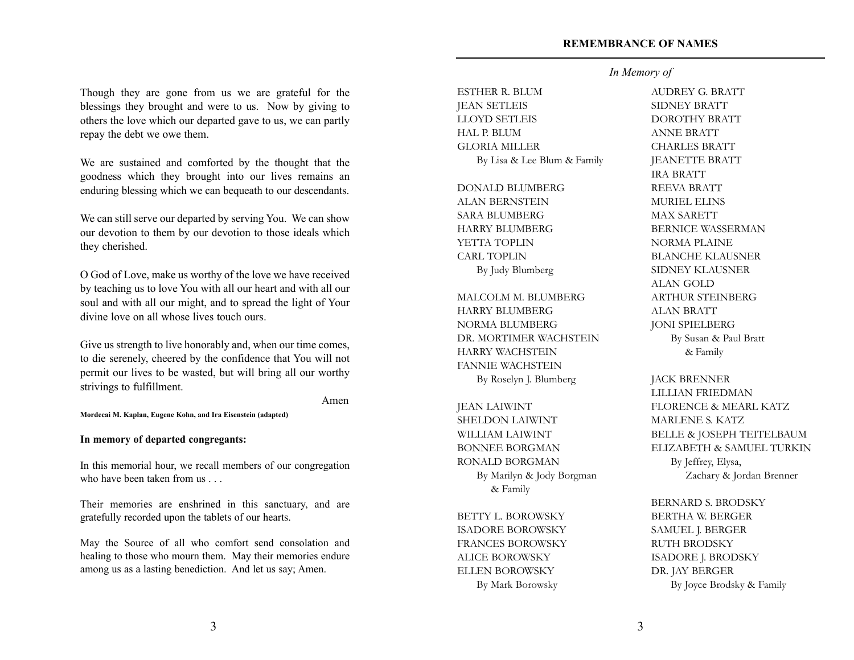Though they are gone from us we are grateful for the blessings they brought and were to us. Now by giving to others the love which our departed gave to us, we can partly repay the debt we owe them.

We are sustained and comforted by the thought that the goodness which they brought into our lives remains an enduring blessing which we can bequeath to our descendants.

We can still serve our departed by serving You. We can show our devotion to them by our devotion to those ideals which they cherished.

O God of Love, make us worthy of the love we have received by teaching us to love You with all our heart and with all our soul and with all our might, and to spread the light of Your divine love on all whose lives touch ours.

Give us strength to live honorably and, when our time comes, to die serenely, cheered by the confidence that You will not permit our lives to be wasted, but will bring all our worthy strivings to fulfillment.

Amen

**Mordecai M. Kaplan, Eugene Kohn, and Ira Eisenstein (adapted)**

#### **In memory of departed congregants:**

In this memorial hour, we recall members of our congregation who have been taken from us . . .

Their memories are enshrined in this sanctuary, and are gratefully recorded upon the tablets of our hearts.

May the Source of all who comfort send consolation and healing to those who mourn them. May their memories endure among us as a lasting benediction. And let us say; Amen.

ESTHER R. BLUM JEAN SETLEIS LLOYD SETLEIS HAL P. BLUM GLORIA MILLER By Lisa & Lee Blum & Family

DONALD BLUMBERG ALAN BERNSTEIN SARA BLUMBERG HARRY BLUMBERG YETTA TOPLIN CARL TOPLIN By Judy Blumberg

MALCOLM M. BLUMBERG HARRY BLUMBERG NORMA BLUMBERG DR. MORTIMER WACHSTEIN HARRY WACHSTEIN FANNIE WACHSTEIN By Roselyn J. Blumberg

JEAN LAIWINT SHELDON LAIWINT WILLIAM LAIWINT BONNEE BORGMAN RONALD BORGMAN By Marilyn & Jody Borgman & Family

BETTY L. BOROWSKY ISADORE BOROWSKY FRANCES BOROWSKY ALICE BOROWSKY ELLEN BOROWSKY By Mark Borowsky

#### *In Memory of*

AUDREY G. BRATT SIDNEY BRATT DOROTHY BRATT ANNE BRATT CHARLES BRATT JEANETTE BRATT IRA BRATT REEVA BRATT MURIEL ELINS MAX SARETT BERNICE WASSERMAN NORMA PLAINE BLANCHE KLAUSNER SIDNEY KLAUSNER ALAN GOLD ARTHUR STEINBERG ALAN BRATT JONI SPIELBERG By Susan & Paul Bratt & Family

#### JACK BRENNER

LILLIAN FRIEDMAN FLORENCE & MEARL KATZ MARLENE S. KATZ BELLE & JOSEPH TEITELBAUM ELIZABETH & SAMUEL TURKIN By Jeffrey, Elysa, Zachary & Jordan Brenner

BERNARD S. BRODSKY BERTHA W. BERGER SAMUEL J. BERGER RUTH BRODSKY ISADORE J. BRODSKY DR. JAY BERGER By Joyce Brodsky & Family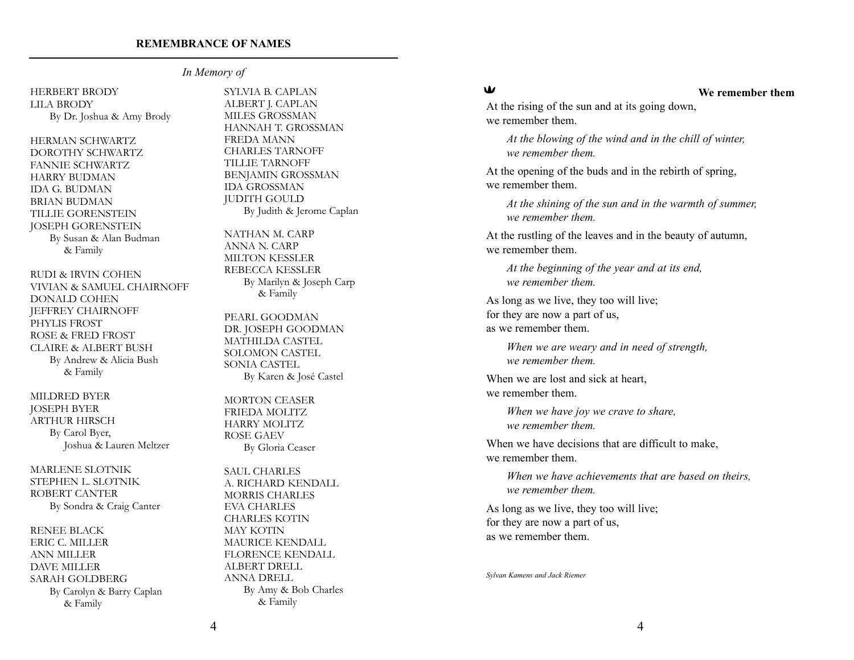#### *In Memory of*

#### HERBERT BRODY LILA BRODY By Dr. Joshua & Amy Brody

HERMAN SCHWARTZ DOROTHY SCHWARTZ FANNIE SCHWARTZ HARRY BUDMAN IDA G. BUDMAN BRIAN BUDMAN TILLIE GORENSTEIN JOSEPH GORENSTEIN By Susan & Alan Budman & Family

RUDI & IRVIN COHEN VIVIAN & SAMUEL CHAIRNOFF DONALD COHEN JEFFREY CHAIRNOFF PHYLIS FROST ROSE & FRED FROST CLAIRE & ALBERT BUSH By Andrew & Alicia Bush & Family

MILDRED BYER JOSEPH BYER ARTHUR HIRSCH By Carol Byer, Joshua & Lauren Meltzer

MARLENE SLOTNIK STEPHEN L. SLOTNIK ROBERT CANTER By Sondra & Craig Canter

RENEE BLACK ERIC C. MILLER ANN MILLER DAVE MILLER SARAH GOLDBERG By Carolyn & Barry Caplan & Family

SYLVIA B. CAPLAN ALBERT J. CAPLAN MILES GROSSMAN HANNAH T. GROSSMAN FREDA MANN CHARLES TARNOFF TILLIE TARNOFF BENJAMIN GROSSMAN IDA GROSSMAN JUDITH GOULD By Judith & Jerome Caplan

NATHAN M. CARP ANNA N. CARP MILTON KESSLER REBECCA KESSLER By Marilyn & Joseph Carp & Family

PEARL GOODMAN DR. JOSEPH GOODMAN MATHILDA CASTEL SOLOMON CASTEL SONIA CASTEL By Karen & José Castel

MORTON CEASER FRIEDA MOLITZ HARRY MOLITZ ROSE GAEV By Gloria Ceaser

SAUL CHARLES A. RICHARD KENDALL MORRIS CHARLES EVA CHARLES CHARLES KOTIN MAY KOTIN MAURICE KENDALL FLORENCE KENDALL ALBERT DRELL ANNA DRELL By Amy & Bob Charles & Family

### W

#### **We remember them**

At the rising of the sun and at its going down, we remember them.

*At the blowing of the wind and in the chill of winter, we remember them.*

At the opening of the buds and in the rebirth of spring, we remember them.

*At the shining of the sun and in the warmth of summer, we remember them.*

At the rustling of the leaves and in the beauty of autumn, we remember them.

*At the beginning of the year and at its end, we remember them.*

As long as we live, they too will live; for they are now a part of us, as we remember them.

> *When we are weary and in need of strength, we remember them.*

When we are lost and sick at heart, we remember them.

> *When we have joy we crave to share, we remember them.*

When we have decisions that are difficult to make, we remember them.

*When we have achievements that are based on theirs, we remember them.*

As long as we live, they too will live; for they are now a part of us, as we remember them.

*Sylvan Kamens and Jack Riemer*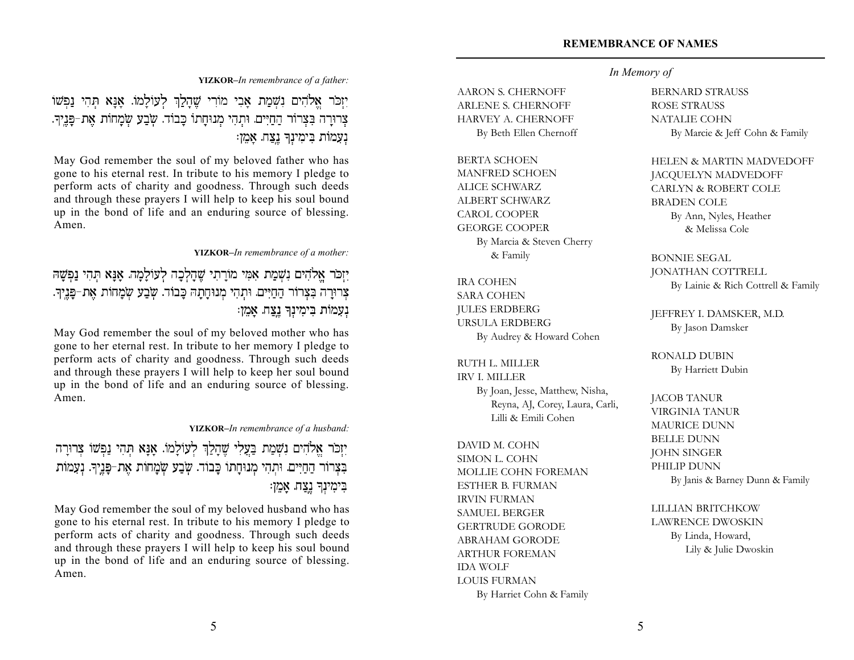## *In Memory of*

AARON S. CHERNOFF ARLENE S. CHERNOFF HARVEY A. CHERNOFF By Beth Ellen Chernoff

BERTA SCHOEN MANFRED SCHOEN ALICE SCHWARZ ALBERT SCHWARZ CAROL COOPER GEORGE COOPER By Marcia & Steven Cherry & Family

IRA COHEN SARA COHEN JULES ERDBERG URSULA ERDBERG By Audrey & Howard Cohen

RUTH L. MILLER IRV I. MILLER By Joan, Jesse, Matthew, Nisha, Reyna, AJ, Corey, Laura, Carli, Lilli & Emili Cohen

DAVID M. COHN SIMON L. COHN MOLLIE COHN FOREMAN ESTHER B. FURMAN IRVIN FURMAN SAMUEL BERGER GERTRUDE GORODE ABRAHAM GORODE ARTHUR FOREMAN IDA WOLF LOUIS FURMAN By Harriet Cohn & Family

## BERNARD STRAUSS ROSE STRAUSS NATALIE COHN

By Marcie & Jeff Cohn & Family

## HELEN & MARTIN MADVEDOFF

JACQUELYN MADVEDOFF CARLYN & ROBERT COLE BRADEN COLE By Ann, Nyles, Heather & Melissa Cole

#### BONNIE SEGAL JONATHAN COTTRELL By Lainie & Rich Cottrell & Family

JEFFREY I. DAMSKER, M.D. By Jason Damsker

RONALD DUBIN By Harriett Dubin

## JACOB TANUR VIRGINIA TANUR MAURICE DUNN BELLE DUNN JOHN SINGER PHILIP DUNN By Janis & Barney Dunn & Family

#### LILLIAN BRITCHKOW

LAWRENCE DWOSKIN By Linda, Howard, Lily & Julie Dwoskin

#### **YIZKOR–***In remembrance of a father:*

יַזְכֹּר אֲלֹהִים נִשְׁמַת אֲבִי מוֹרִי שֶׁהַלַּךְ לְעוֹלַמוֹ. אֲנֵא תְּהִי נַפְּשׁוֹ צְרוּרָה בִּצְרוֹר הַחַיִּים. וּתְהִי מְנוּחַתוֹ כָּבוֹד. שְׂבַע שְׂמַחוֹת אֶת-פָּנֵיךָ. נְעָמוֹת בִימִינְךָ נֶצַח. אַמֵן:

May God remember the soul of my beloved father who has gone to his eternal rest. In tribute to his memory I pledge to perform acts of charity and goodness. Through such deeds and through these prayers I will help to keep his soul bound up in the bond of life and an enduring source of blessing. Amen.

**YIZKOR–***In remembrance of a mother:*

יִזְכֹּר אַלֹּהִים נִשְׁמַת אָמִי מוֹרַתִי שֶׁהַלְכָה לְעוֹלַמַה. אַנַּא תִהִי נַפְּשַׁהּ צְרוּרָה בְּצְרוֹר הַחַיִּים. וּתְהִי מְנוּחַתָה כָּבוֹד. שְׂבַע שְׂמַחוֹת אֶת-פַּנֵיךָ. נִעֲמוֹת בִימִינִךְ נֵצַח. אַמֶן:

May God remember the soul of my beloved mother who has gone to her eternal rest. In tribute to her memory I pledge to perform acts of charity and goodness. Through such deeds and through these prayers I will help to keep her soul bound up in the bond of life and an enduring source of blessing. Amen.

**YIZKOR–***In remembrance of a husband:*

## יַזְכֹּר אֱלֹהִים נִשְׁמַת בַּעֲלִי שֶׁהַלַּךְ לְעוֹלַמוֹ. אֲנֵא תִּהִי נַפְּשׁוֹ צְרוּרַה בְּצְרוֹר הַחַיִּים. וּתְהִי מְנוּחַתוֹ כָּבוֹד. שָׁבַע שְׂמַחוֹת אֶת-פַּנֵיךָ. נִעְמוֹת בימינך נצח. אמן:

May God remember the soul of my beloved husband who has gone to his eternal rest. In tribute to his memory I pledge to perform acts of charity and goodness. Through such deeds and through these prayers I will help to keep his soul bound up in the bond of life and an enduring source of blessing. Amen.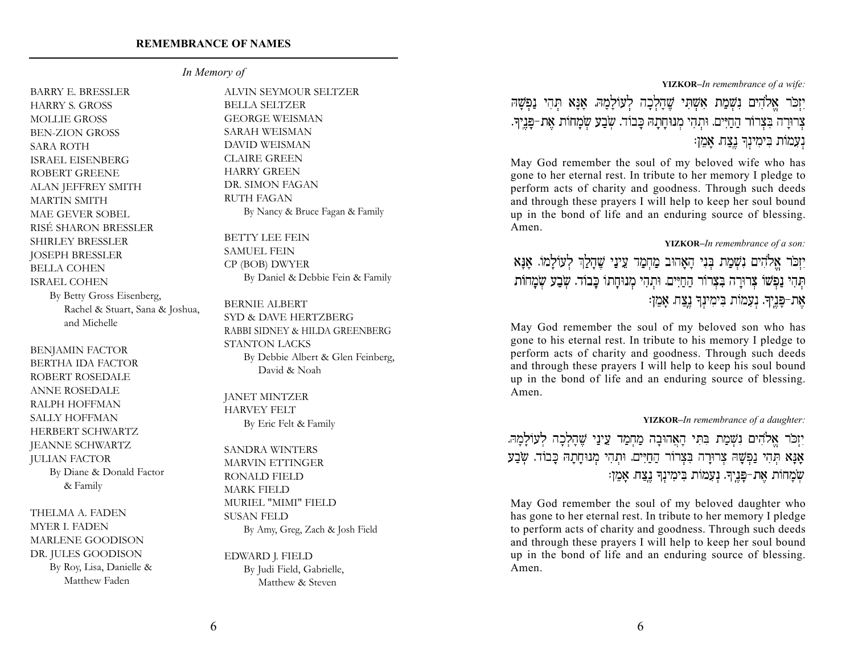#### *In Memory of*

BARRY E. BRESSLER HARRY S. GROSS MOLLIE GROSS BEN-ZION GROSS SARA ROTH ISRAEL EISENBERG ROBERT GREENE ALAN JEFFREY SMITH MARTIN SMITH MAE GEVER SOBEL RISÉ SHARON BRESSLER SHIRLEY BRESSLER JOSEPH BRESSLER BELLA COHEN ISRAEL COHEN By Betty Gross Eisenberg, Rachel & Stuart, Sana & Joshua, and Michelle

BENJAMIN FACTOR BERTHA IDA FACTOR ROBERT ROSEDALE ANNE ROSEDALE RALPH HOFFMAN SALLY HOFFMAN HERBERT SCHWARTZ JEANNE SCHWARTZ JULIAN FACTOR By Diane & Donald Factor & Family

THELMA A. FADEN MYER I. FADEN MARLENE GOODISON DR. JULES GOODISON By Roy, Lisa, Danielle & Matthew Faden

ALVIN SEYMOUR SELTZER BELLA SELTZER GEORGE WEISMAN SARAH WEISMAN DAVID WEISMAN CLAIRE GREEN HARRY GREEN DR. SIMON FAGAN RUTH FAGAN By Nancy & Bruce Fagan & Family

BETTY LEE FEIN SAMUEL FEIN CP (BOB) DWYER By Daniel & Debbie Fein & Family

BERNIE ALBERT SYD & DAVE HERTZBERG RABBI SIDNEY & HILDA GREENBERG STANTON LACKS By Debbie Albert & Glen Feinberg, David & Noah

JANET MINTZER HARVEY FELT By Eric Felt & Family

SANDRA WINTERS MARVIN ETTINGER RONALD FIELD MARK FIELD MURIEL "MIMI" FIELD SUSAN FELD By Amy, Greg, Zach & Josh Field

EDWARD J. FIELD By Judi Field, Gabrielle, Matthew & Steven

**YIZKOR–***In remembrance of a wife:*

יִזְכֹר אֱלֹהִים נִשְׁמַת אִשְׁתִּי שֱהָלְכָה לְעוֹלָמָהּ. אָנָא תִהִי נַפְשָׁה צרורה בצרור החיים. ותהי מנוחתה כבוד. שבע שמחות את-פַּנֵיך. נִעֲמוֹת בִּימִינָךְ נֵצַח. אַמֶן:

May God remember the soul of my beloved wife who has gone to her eternal rest. In tribute to her memory I pledge to perform acts of charity and goodness. Through such deeds and through these prayers I will help to keep her soul bound up in the bond of life and an enduring source of blessing. Amen.

#### **YIZKOR–***In remembrance of a son:*

יַזְכֹּר אֱלֹהִים נִשְׁמַת בְּנִי הַאֲהוּב מַחְמַד עֵינַי שֵׁהַלַךְ לְעוֹלַמוֹ. אַנַּא תְהִי נַפְשׁוֹ צָרוּרָה בַּצַרוֹר הַחִיִּים. וּתְהִי מִנוּחַתוֹ כַּבוֹד. שַׂבַע שַׂמַחוֹת אֶת-פַּנֵיךָ. נִעָמוֹת בִּימִינִךְ נֵצַה. אָמֶן:

May God remember the soul of my beloved son who has gone to his eternal rest. In tribute to his memory I pledge to perform acts of charity and goodness. Through such deeds and through these prayers I will help to keep his soul bound up in the bond of life and an enduring source of blessing. Amen.

#### **YIZKOR–***In remembrance of a daughter:*

יִזְכֹר אֱלֹהִים נִשְׁמַת בִּתִּי הָאֲהוּבָה מַחְמַד עֵינַי שֵׁהָלְכָה לְעוֹלָמָהּ. אָנָא תְּהִי נַפְשָׁהּ צִרוּרָה בִּצְרוֹר הַחַיִּים. וּתְהִי מְנוּחֲתָהּ כָּבוֹד. שְׂבַע שְׂמַחוֹת אֶת-פַּנֵיךָ. נִעֲמוֹת בִּימִינְךָ נֵצַה. אָמֶן:

May God remember the soul of my beloved daughter who has gone to her eternal rest. In tribute to her memory I pledge to perform acts of charity and goodness. Through such deeds and through these prayers I will help to keep her soul bound up in the bond of life and an enduring source of blessing. Amen.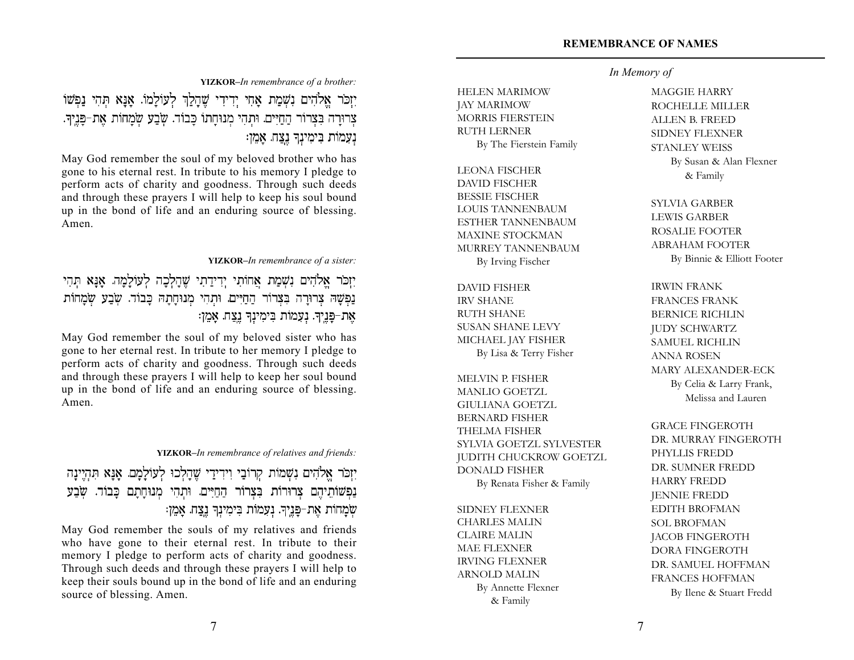## *In Memory of*

HELEN MARIMOW JAY MARIMOW MORRIS FIERSTEIN RUTH LERNER By The Fierstein Family

LEONA FISCHER DAVID FISCHER BESSIE FISCHER LOUIS TANNENBAUM ESTHER TANNENBAUM MAXINE STOCKMAN MURREY TANNENBAUM By Irving Fischer

DAVID FISHER IRV SHANE RUTH SHANE SUSAN SHANE LEVY MICHAEL JAY FISHER By Lisa & Terry Fisher

MELVIN P. FISHER MANLIO GOETZL GIULIANA GOETZL BERNARD FISHER THELMA FISHER SYLVIA GOETZL SYLVESTER JUDITH CHUCKROW GOETZL DONALD FISHER By Renata Fisher & Family

SIDNEY FLEXNER CHARLES MALIN CLAIRE MALIN MAE FLEXNER IRVING FLEXNER ARNOLD MALIN By Annette Flexner & Family

MAGGIE HARRY ROCHELLE MILLER ALLEN B. FREED SIDNEY FLEXNER STANLEY WEISS By Susan & Alan Flexner & Family

SYLVIA GARBER LEWIS GARBER ROSALIE FOOTER ABRAHAM FOOTER By Binnie & Elliott Footer

IRWIN FRANK FRANCES FRANK BERNICE RICHLIN JUDY SCHWARTZ SAMUEL RICHLIN ANNA ROSEN MARY ALEXANDER-ECK By Celia & Larry Frank, Melissa and Lauren

GRACE FINGEROTH DR. MURRAY FINGEROTH PHYLLIS FREDD DR. SUMNER FREDD HARRY FREDD JENNIE FREDD EDITH BROFMAN SOL BROFMAN JACOB FINGEROTH DORA FINGEROTH DR. SAMUEL HOFFMAN FRANCES HOFFMAN By Ilene & Stuart Fredd

**YIZKOR–***In remembrance of a brother:*

יִזְכֹּר אֱלֹהִים נִשְׁמַת אַחִי יִדְידִי שֶׁהַלַּךְ לְעוֹלַמוֹ. אֲנַא תְהִי נַפְשׁוֹ צְרוּרָה בִּצְרוֹר הַחַיִּים. וּתִהִי מִנוּחָתוֹ כָּבוֹד. שְׂבַע שְׂמָחוֹת אֶת-פָּנֵיךָ. נִעֲמוֹת בִּימִינִךְ נֵצַח. אַמֵן:

May God remember the soul of my beloved brother who has gone to his eternal rest. In tribute to his memory I pledge to perform acts of charity and goodness. Through such deeds and through these prayers I will help to keep his soul bound up in the bond of life and an enduring source of blessing. Amen.

#### **YIZKOR–***In remembrance of a sister:*

יִזְכֹר אֱלֹהִים נִשְׁמַת אֲחוֹתִי יִדְידַתִי שֶׁהֲלִכָּה לְעוֹלַמָה. אֲנֵא תְהִי נַפְשָׁה צְרוּרַה בְּצְרוֹר הַחַיִּים. וּתְהִי מְנוּחַתַהּ כַּבוֹד. שְׂבַע שְׂמַחוֹת אֶת-פָּנֶיךָ. נְעָמוֹת בִּימִינְךָ נֶצַח. אָמֵן:

May God remember the soul of my beloved sister who has gone to her eternal rest. In tribute to her memory I pledge to perform acts of charity and goodness. Through such deeds and through these prayers I will help to keep her soul bound up in the bond of life and an enduring source of blessing. Amen.

#### **YIZKOR–***In remembrance of relatives and friends:*

יִזְכֹר אֱלֹהִים נִשְׁמוֹת קִרוֹבַי וִידִידַי שֶׁהַלְכוּ לְעוֹלַמַם. אֲנַא תִּהְיֵינַה נַפְשׁוֹתֵיהֵם צְרוּרוֹת בִּצְרוֹר הַחַיִּים. וּתְהִי מְנוּחָתָם כָּבוֹד. שָׂבֲעַ שְׂמָחוֹת אֶת-פַּנֵיךָ. נִעֲמוֹת בִּימִינָךְ נֵצַח. אָמֵן:

May God remember the souls of my relatives and friends who have gone to their eternal rest. In tribute to their memory I pledge to perform acts of charity and goodness. Through such deeds and through these prayers I will help to keep their souls bound up in the bond of life and an enduring source of blessing. Amen.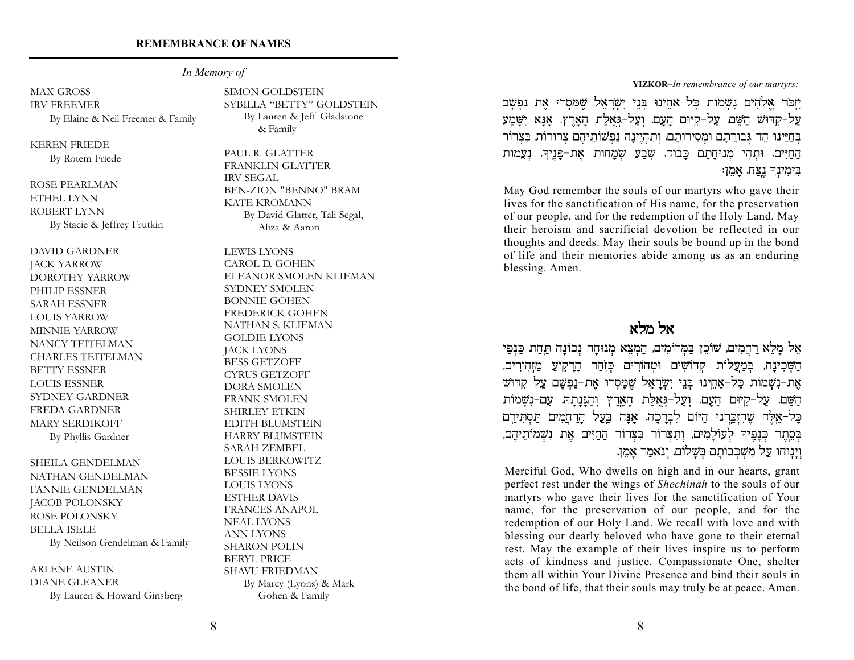#### *In Memory of*

MAX GROSS IRV FREEMER By Elaine & Neil Freemer & Family

KEREN FRIEDE By Rotem Friede

ROSE PEARLMAN ETHEL LYNN ROBERT LYNN By Stacie & Jeffrey Frutkin

DAVID GARDNER JACK YARROW DOROTHY YARROW PHILIP ESSNER SARAH ESSNER LOUIS YARROW MINNIE YARROW NANCY TEITELMAN CHARLES TEITELMAN BETTY ESSNER LOUIS ESSNER SYDNEY GARDNER FREDA GARDNER MARY SERDIKOFF By Phyllis Gardner

SHEILA GENDELMAN NATHAN GENDELMAN FANNIE GENDELMAN JACOB POLONSKY ROSE POLONSKY BELLA ISELE By Neilson Gendelman & Family

ARLENE AUSTIN DIANE GLEANER By Lauren & Howard Ginsberg SIMON GOLDSTEIN SYBILLA "BETTY" GOLDSTEIN By Lauren & Jeff Gladstone & Family

PAUL R. GLATTER FRANKLIN GLATTER IRV SEGAL BEN-ZION "BENNO" BRAM KATE KROMANN By David Glatter, Tali Segal, Aliza & Aaron

LEWIS LYONS CAROL D. GOHEN ELEANOR SMOLEN KLIEMAN SYDNEY SMOLEN BONNIE GOHEN FREDERICK GOHEN NATHAN S. KLIEMAN GOLDIE LYONS JACK LYONS BESS GETZOFF CYRUS GETZOFF DORA SMOLEN FRANK SMOLEN SHIRLEY ETKIN EDITH BLUMSTEIN HARRY BLUMSTEIN SARAH ZEMBEL LOUIS BERKOWITZ BESSIE LYONS LOUIS LYONS ESTHER DAVIS FRANCES ANAPOL NEAL LYONS ANN LYONS SHARON POLIN BERYL PRICE SHAVU FRIEDMAN By Marcy (Lyons) & Mark Gohen & Family

**YIZKOR–***In remembrance of our martyrs:*

יַזַכֹּר אלֹהִים נְשָׁמוֹת כַּל-אַחֵינוּ בִּנֵי יִשְׂרָאֵל שָׁמַּסְרוּ אֶת-נַפְשַׁם עַל-קִדּוּשׁ הַשֶּׁם. עַל-קִיּוּם הַעַם. וְעַל-גְאָלַת הָאָרֵץ. אָנָא יִשָּׁמַע בְּחַיֵּינוּ הֶד גִּבוּרָתָם וּמְסִירוּתָם. וְתִהְיֵינָה נַפְשׁוֹתֵיהֵם צְרוּרוֹת בִּצְרוֹר הַחַיִּים. וּתְהִי מִנוּחָתָם כָּבוֹד. שְׂבַע שִׂמָחוֹת אֵת-פָּנֵיךְ. נִעָמוֹת בִּימִינָךְ נֵצַח. אַמֵן:

May God remember the souls of our martyrs who gave their lives for the sanctification of His name, for the preservation of our people, and for the redemption of the Holy Land. May their heroism and sacrificial devotion be reflected in our thoughts and deeds. May their souls be bound up in the bond of life and their memories abide among us as an enduring blessing. Amen.

אל מלא

אֵל מָלֵא רַחֲמִים, שׁוֹכֵן בַּמְרוֹמִים, הַמְצֵא מְנוּחָה נְכוֹנָה תַּחַת כַּנְפֵי הַשָּׁכִינָה, בִּמַעֲלוֹת קִדוֹשִׁים וּטְהוֹרִים כִּזְהַר הָרָקֵיעַ מַזִהִירִים, אֶת-נִשְׁמוֹת כָּל-אַחֱינוּ בְּנֵי יִשְׂרָאֵל שֱמָּסְרוּ אֶת-נַפְּשֶׁם עַל קְדּוּש הַשֶּׁם. עַל-קִיּוּם הַעֲם. וְעַל-גָאָלַת הָאֲרֵץ וְהַגָּנָתָהּ. עִם-נִשְׁמוֹת כַּל-אֱלֵה שֶׁהִזְכֵּרְנוּ הַיּוֹם לְבְרַכָה. אֲנַּה בַּעֲל הַרְחֲמִים תַּסְתִּירֵם בְּסֵתֶר כְּנַפֵּיךְ לְעוֹלַמִים, וְתִצְרוֹר בִּצְרוֹר הַחַיִּים אֶת נִשְׁמוֹתֵיהֶם, וַיַנְוּחוּ עַל מִשְׁכִּבוֹתֵם בְּשֵׁלוֹם. וְנֹאמַר אַמֶן.

Merciful God, Who dwells on high and in our hearts, grant perfect rest under the wings of *Shechinah* to the souls of our martyrs who gave their lives for the sanctification of Your name, for the preservation of our people, and for the redemption of our Holy Land. We recall with love and with blessing our dearly beloved who have gone to their eternal rest. May the example of their lives inspire us to perform acts of kindness and justice. Compassionate One, shelter them all within Your Divine Presence and bind their souls in the bond of life, that their souls may truly be at peace. Amen.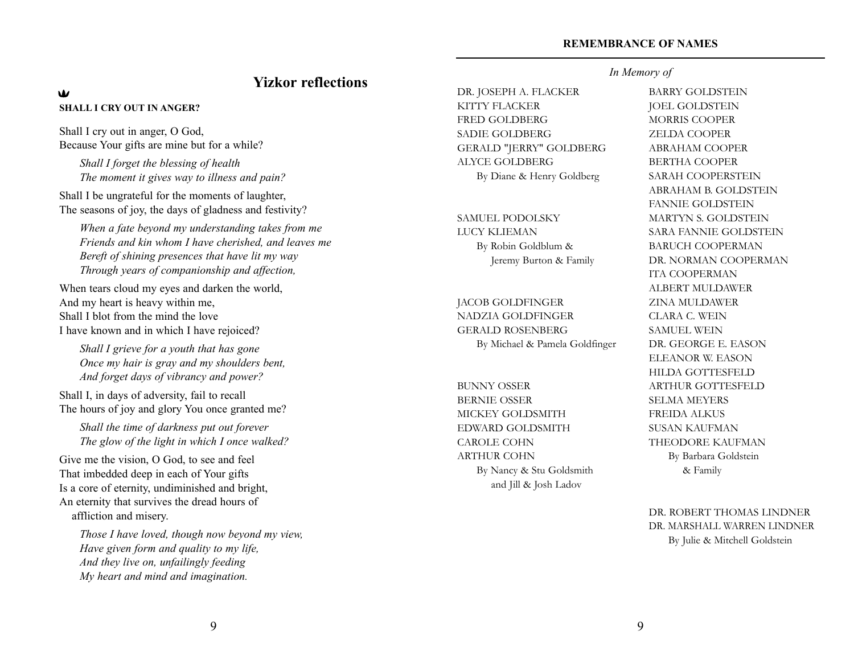## **Yizkor reflections**

#### $\mathbf{w}$ **SHALL I CRY OUT IN ANGER?**

Shall I cry out in anger, O God, Because Your gifts are mine but for a while?

*Shall I forget the blessing of health The moment it gives way to illness and pain?*

Shall I be ungrateful for the moments of laughter, The seasons of joy, the days of gladness and festivity?

*When a fate beyond my understanding takes from me Friends and kin whom I have cherished, and leaves me Bereft of shining presences that have lit my way Through years of companionship and affection,*

When tears cloud my eyes and darken the world, And my heart is heavy within me, Shall I blot from the mind the love I have known and in which I have rejoiced?

*Shall I grieve for a youth that has gone Once my hair is gray and my shoulders bent, And forget days of vibrancy and power?*

Shall I, in days of adversity, fail to recall The hours of joy and glory You once granted me?

*Shall the time of darkness put out forever The glow of the light in which I once walked?*

Give me the vision, O God, to see and feel That imbedded deep in each of Your gifts Is a core of eternity, undiminished and bright, An eternity that survives the dread hours of affliction and misery.

*Those I have loved, though now beyond my view, Have given form and quality to my life, And they live on, unfailingly feeding My heart and mind and imagination.*

DR. JOSEPH A. FLACKER KITTY FLACKER FRED GOLDBERG SADIE GOLDBERG GERALD "JERRY" GOLDBERG ALYCE GOLDBERG By Diane & Henry Goldberg

SAMUEL PODOLSKY LUCY KLIEMAN By Robin Goldblum & Jeremy Burton & Family

JACOB GOLDFINGER NADZIA GOLDFINGER GERALD ROSENBERG By Michael & Pamela Goldfinger

BUNNY OSSER BERNIE OSSER MICKEY GOLDSMITH EDWARD GOLDSMITH CAROLE COHN ARTHUR COHN By Nancy & Stu Goldsmith and Jill & Josh Ladov

#### *In Memory of*

BARRY GOLDSTEIN JOEL GOLDSTEIN MORRIS COOPER ZELDA COOPER ABRAHAM COOPER BERTHA COOPER SARAH COOPERSTEIN ABRAHAM B. GOLDSTEIN FANNIE GOLDSTEIN MARTYN S. GOLDSTEIN SARA FANNIE GOLDSTEIN BARUCH COOPERMAN DR. NORMAN COOPERMAN ITA COOPERMAN ALBERT MULDAWER ZINA MULDAWER CLARA C. WEIN SAMUEL WEIN DR. GEORGE E. EASON ELEANOR W. EASON HILDA GOTTESFELD ARTHUR GOTTESFELD SELMA MEYERS FREIDA ALKUS SUSAN KAUFMAN THEODORE KAUFMAN By Barbara Goldstein & Family

DR. ROBERT THOMAS LINDNER DR. MARSHALL WARREN LINDNER By Julie & Mitchell Goldstein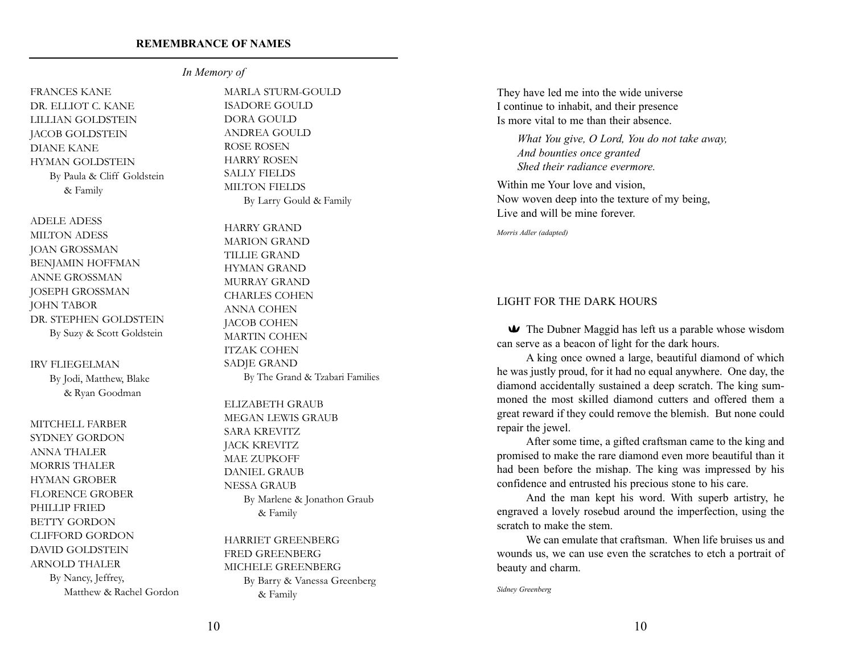FRANCES KANE DR. ELLIOT C. KANE LILLIAN GOLDSTEIN JACOB GOLDSTEIN DIANE KANE HYMAN GOLDSTEIN By Paula & Cliff Goldstein & Family

ADELE ADESS MILTON ADESS JOAN GROSSMAN BENJAMIN HOFFMAN ANNE GROSSMAN JOSEPH GROSSMAN JOHN TABOR DR. STEPHEN GOLDSTEIN By Suzy & Scott Goldstein

IRV FLIEGELMAN

By Jodi, Matthew, Blake & Ryan Goodman

MITCHELL FARBER SYDNEY GORDON ANNA THALER MORRIS THALER HYMAN GROBER FLORENCE GROBER PHILLIP FRIED BETTY GORDON CLIFFORD GORDON DAVID GOLDSTEIN ARNOLD THALER By Nancy, Jeffrey, Matthew & Rachel Gordon

*In Memory of*

MARLA STURM-GOULD ISADORE GOULD DORA GOULD ANDREA GOULD ROSE ROSEN HARRY ROSEN SALLY FIELDS MILTON FIELDS By Larry Gould & Family

HARRY GRAND MARION GRAND TILLIE GRAND HYMAN GRAND MURRAY GRAND CHARLES COHEN ANNA COHEN JACOB COHEN MARTIN COHEN ITZAK COHEN SADJE GRAND By The Grand & Tzabari Families

ELIZABETH GRAUB MEGAN LEWIS GRAUB SARA KREVITZ JACK KREVITZ MAE ZUPKOFF DANIEL GRAUB NESSA GRAUB By Marlene & Jonathon Graub & Family

HARRIET GREENBERG FRED GREENBERG MICHELE GREENBERG By Barry & Vanessa Greenberg & Family

They have led me into the wide universe I continue to inhabit, and their presence Is more vital to me than their absence.

*What You give, O Lord, You do not take away, And bounties once granted Shed their radiance evermore.*

Within me Your love and vision, Now woven deep into the texture of my being, Live and will be mine forever.

*Morris Adler (adapted)*

#### LIGHT FOR THE DARK HOURS

The Dubner Maggid has left us a parable whose wisdom can serve as a beacon of light for the dark hours.

A king once owned a large, beautiful diamond of which he was justly proud, for it had no equal anywhere. One day, the diamond accidentally sustained a deep scratch. The king summoned the most skilled diamond cutters and offered them a great reward if they could remove the blemish. But none could repair the jewel.

After some time, a gifted craftsman came to the king and promised to make the rare diamond even more beautiful than it had been before the mishap. The king was impressed by his confidence and entrusted his precious stone to his care.

And the man kept his word. With superb artistry, he engraved a lovely rosebud around the imperfection, using the scratch to make the stem.

We can emulate that craftsman. When life bruises us and wounds us, we can use even the scratches to etch a portrait of beauty and charm.

*Sidney Greenberg*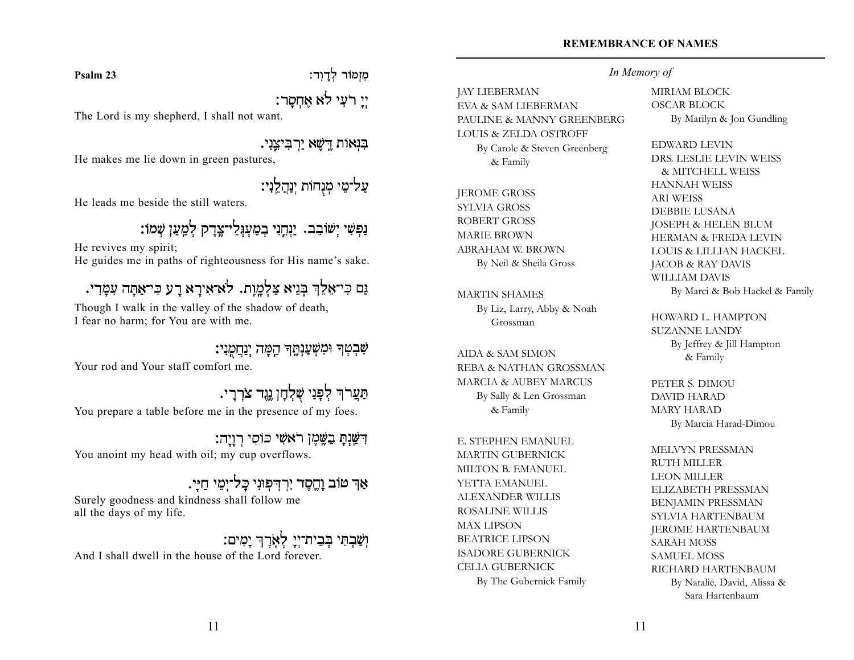**Psalm 23**

מִזְמוֹר לְדַוְד:

יֵי רֹעִי לֹא אַחְסַר:

The Lord is my shepherd, I shall not want.

בִּנְאוֹת דֵשָׁא יַרְבִיצֵנִי.

He makes me lie down in green pastures,

עַל־מֱי מִנְחוֹת יְנַהֲלֵיִי:

He leads me beside the still waters.

ַנִּפְשִׁי יְשׁוֹבֵב. יַנְחֲנִי בְמַעְגְלֵי־צֶדֶק לְמָעַן שְׁמוֹ:

He revives my spirit; He guides me in paths of righteousness for His name's sake.

## נם כי־אַלֶךְ בּגיא צלמות. לא־אירא רע כי־אתה עמדי.

Though I walk in the valley of the shadow of death, I fear no harm; for You are with me.

שִׁבְטְךָ וּמִשְׁעַנְחֶךְ הֵמָּה יְנַחֲמֶנִי: Your rod and Your staff comfort me.

תַּעֲרֹךְ לִפְנַי שָׁלִחַן נֵיֱד צֹרְרֵי. You prepare a table before me in the presence of my foes.

דִּשֲׁנָתָ בַשֱׁמֶן רֹאשִׁי כּוֹסִי רְוַיָה: You anoint my head with oil; my cup overflows.

אַר טוֹב וַחֱסֶד יִרְדִּפְוּנִי כָּל־יָמֶי חָיֵי. Surely goodness and kindness shall follow me all the days of my life.

וְשָׁבְתִּי בְּבֵית־יְיֵ לְאָרֶךְ יַמְיִם: And I shall dwell in the house of the Lord forever.

## *In Memory of*

JAY LIEBERMAN EVA & SAM LIEBERMAN PAULINE & MANNY GREENBERG LOUIS & ZELDA OSTROFF By Carole & Steven Greenberg & Family

JEROME GROSS SYLVIA GROSS ROBERT GROSS MARIE BROWN ABRAHAM W. BROWN By Neil & Sheila Gross

MARTIN SHAMES By Liz, Larry, Abby & Noah Grossman

AIDA & SAM SIMON REBA & NATHAN GROSSMAN MARCIA & AUBEY MARCUS By Sally & Len Grossman & Family

E. STEPHEN EMANUEL MARTIN GUBERNICK MILTON B. EMANUEL YETTA EMANUEL ALEXANDER WILLIS ROSALINE WILLIS MAX LIPSON BEATRICE LIPSON ISADORE GUBERNICK CELIA GUBERNICK By The Gubernick Family MIRIAM BLOCK OSCAR BLOCK By Marilyn & Jon Gundling

EDWARD LEVIN DRS. LESLIE LEVIN WEISS & MITCHELL WEISS HANNAH WEISS ARI WEISS DEBBIE LUSANA JOSEPH & HELEN BLUM HERMAN & FREDA LEVIN LOUIS & LILLIAN HACKEL JACOB & RAY DAVIS WILLIAM DAVIS By Marci & Bob Hackel & Family

HOWARD L. HAMPTON SUZANNE LANDY By Jeffrey & Jill Hampton & Family

PETER S. DIMOU DAVID HARAD MARY HARAD By Marcia Harad-Dimou

MELVYN PRESSMAN RUTH MILLER LEON MILLER ELIZABETH PRESSMAN BENJAMIN PRESSMAN SYLVIA HARTENBAUM JEROME HARTENBAUM SARAH MOSS SAMUEL MOSS RICHARD HARTENBAUM By Natalie, David, Alissa & Sara Hartenbaum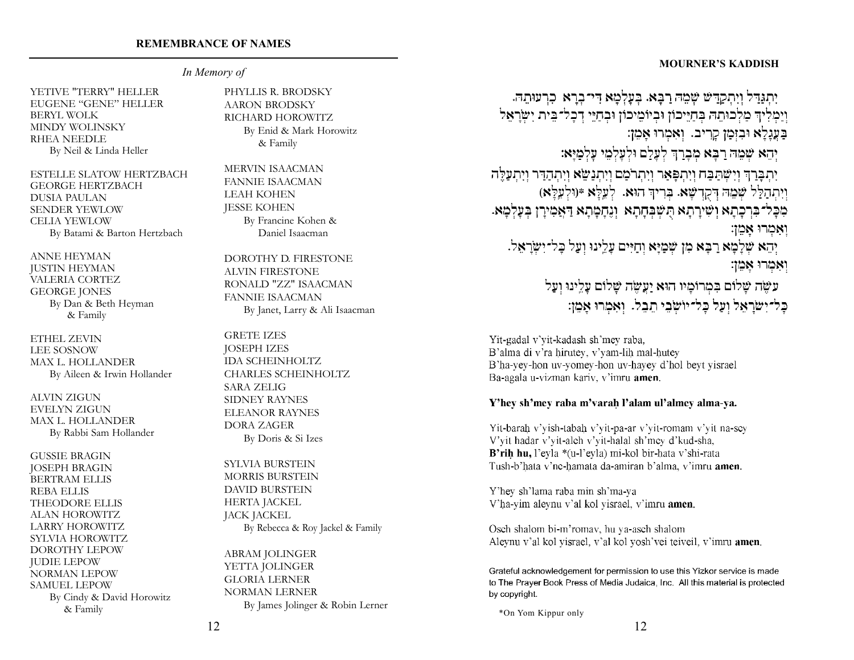#### **MOURNER'S KADDISH**

## *In Memory of*

YETIVE "TERRY" HELLER EUGENE "GENE" HELLER BERYL WOLK MINDY WOLINSKY RHEA NEEDLE By Neil & Linda Heller

ESTELLE SLATOW HERTZBACH GEORGE HERTZBACH DUSIA PAULAN SENDER YEWLOW CELIA YEWLOW By Batami & Barton Hertzbach

ANNE HEYMAN JUSTIN HEYMAN VALERIA CORTEZ GEORGE JONES By Dan & Beth Heyman & Family

ETHEL ZEVIN LEE SOSNOW MAX L. HOLLANDER By Aileen & Irwin Hollander

ALVIN ZIGUN EVELYN ZIGUN MAX L. HOLLANDER By Rabbi Sam Hollander

GUSSIE BRAGIN JOSEPH BRAGIN BERTRAM ELLIS REBA ELLIS THEODORE ELLIS ALAN HOROWITZ LARRY HOROWITZ SYLVIA HOROWITZ DOROTHY LEPOW JUDIE LEPOW NORMAN LEPOW SAMUEL LEPOW By Cindy & David Horowitz & Family

PHYLLIS R. BRODSKY AARON BRODSKY RICHARD HOROWITZ By Enid & Mark Horowitz & Family

MERVIN ISAACMAN FANNIE ISAACMAN LEAH KOHEN JESSE KOHEN By Francine Kohen & Daniel Isaacman

DOROTHY D. FIRESTONE ALVIN FIRESTONE RONALD "ZZ" ISAACMAN FANNIE ISAACMAN By Janet, Larry & Ali Isaacman

GRETE IZES JOSEPH IZES IDA SCHEINHOLTZ CHARLES SCHEINHOLTZ SARA ZELIG SIDNEY RAYNES ELEANOR RAYNES DORA ZAGER By Doris & Si Izes

SYLVIA BURSTEIN MORRIS BURSTEIN DAVID BURSTEIN HERTA JACKEL JACK JACKEL By Rebecca & Roy Jackel & Family

ABRAM JOLINGER YETTA JOLINGER GLORIA LERNER NORMAN LERNER By James Jolinger & Robin Lerner

יִתְגַּדֵּל וְיִתְקַדֵּשׁ שְׁמֵה רַבָּא. בְעָלְמָא דִּי־בְרָא כִרְעוּתֵה. וְיַמְלִיךְ מַלְכוּתֵהּ בְּחַיֵּיכוֹן וּבְיוֹמֵיכוֹן וּבְחַיֵּי דְכָל־בֵּית יִשְׂרָאֵל בַעֲנָלָא וּבִזְמַן קָרִיב. וְאִמְרוּ אָמֵן: יְהֵא שָׁמֶה רַבָּא מִבְרַךְ לְעָלַם וּלְעַלְמֵי עַלְמַיַּא: יִתְבָּרַךְ וְיִשְּׁתַּבַּח וְיִתְ<mark>פָּאַר</mark> וְיִתְרֹמַם וְיִתְנַשֵּׂא וְיִתְהַדֵּר וְיִתְעַלֶּה וְיִתְהַלֵּל שָׁמֶה דְּקָדְשָׁא. בְּרִיךְ הוּא. לְעֵלֵּא \*(וּלְעֵלֵּא) מִכָּל־בִּרְכָתָא וְשִׁירַתָא הִשְׁבָּחָתָא וְגֶחָמֶתָא דַּאֲמִירַן בְּעָלְמָא. ואמרו אמן: יְהֵא שְׁלָמָא רַבָּא מִן שְׁמַיָּא וְחַיִּים עָלֵינוּ וְעַל כָּל־יִשְׂרָאֵל. ואמרו אמן: עשֶׂה שַׁלוֹם בִּמְרוֹמֵיו הוּא יַעֲשֶׂה שַׁלוֹם עָלֵינוּ וְעָל כַל־יִשׂרַאֱל וְעָל כָל־יוֹשְׂבֵי תֵבֵל. וְאִמְרוּ אַמֵן:

Yit-gadal v'yit-kadash sh'mey raba, B'alma di v'ra hirutey, v'yam-lih mal-hutey B'ha-yey-hon uv-yomey-hon uv-hayey d'hol beyt yisrael Ba-agala u-vizman kariv, v'imru **amen**.

#### Y'hev sh'mev raba m'varah l'alam ul'almev alma-va.

Yit-barah v'yish-tabah v'yit-pa-ar v'yit-romam v'yit na-sey V'yit hadar v'yit-alch v'yit-halal sh'mey d'kud-sha, B'rih hu, l'evla \*(u-l'evla) mi-kol bir-hata y'shi-rata Tush-b'hata v'ne-hamata da-amiran b'alma, v'imru amen.

Y'hey sh'lama raba min sh'ma-ya V'ha-yim aleynu v'al kol yisrael, v'imru amen.

Osch shalom bi-m'romav, hu ya-asch shalom Aleynu v'al kol yisrael, v'al kol yosh'vei teiveil, v'imru amen.

Grateful acknowledgement for permission to use this Yizkor service is made to The Praver Book Press of Media Judaica, Inc. All this material is protected by copyright.

\*On Yom Kippur only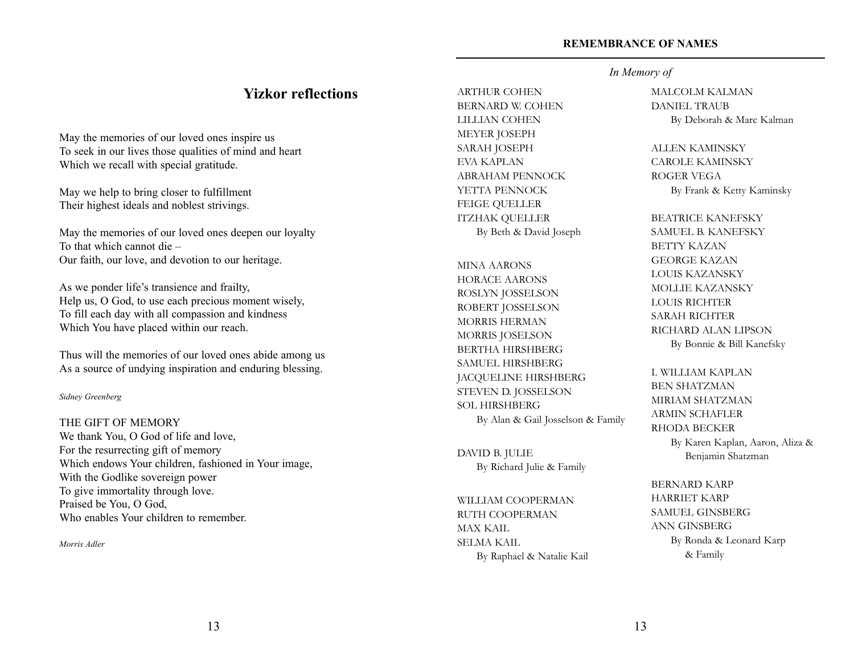## **Yizkor reflections**

May the memories of our loved ones inspire us To seek in our lives those qualities of mind and heart Which we recall with special gratitude.

May we help to bring closer to fulfillment Their highest ideals and noblest strivings.

May the memories of our loved ones deepen our loyalty To that which cannot die – Our faith, our love, and devotion to our heritage.

As we ponder life's transience and frailty, Help us, O God, to use each precious moment wisely, To fill each day with all compassion and kindness Which You have placed within our reach.

Thus will the memories of our loved ones abide among us As a source of undying inspiration and enduring blessing.

#### *Sidney Greenberg*

THE GIFT OF MEMORY We thank You, O God of life and love, For the resurrecting gift of memory Which endows Your children, fashioned in Your image, With the Godlike sovereign power To give immortality through love. Praised be You, O God, Who enables Your children to remember.

*Morris Adler*

ARTHUR COHEN BERNARD W. COHEN LILLIAN COHEN MEYER JOSEPH SARAH JOSEPH EVA KAPLAN ABRAHAM PENNOCK YETTA PENNOCK FEIGE QUELLER ITZHAK QUELLER By Beth & David Joseph

MINA AARONS HORACE AARONS ROSLYN JOSSELSON ROBERT JOSSELSON MORRIS HERMAN MORRIS JOSELSON BERTHA HIRSHBERG SAMUEL HIRSHBERG JACQUELINE HIRSHBERG STEVEN D. JOSSELSON SOL HIRSHBERG By Alan & Gail Josselson & Family

DAVID B. JULIE By Richard Julie & Family

WILLIAM COOPERMAN RUTH COOPERMAN MAX KAIL SELMA KAIL By Raphael & Natalie Kail

## *In Memory of*

MALCOLM KALMAN DANIEL TRAUB By Deborah & Marc Kalman

#### ALLEN KAMINSKY

CAROLE KAMINSKY ROGER VEGA By Frank & Ketty Kaminsky

BEATRICE KANEFSKY SAMUEL B. KANEFSKY BETTY KAZAN GEORGE KAZAN LOUIS KAZANSKY MOLLIE KAZANSKY LOUIS RICHTER SARAH RICHTER RICHARD ALAN LIPSON By Bonnie & Bill Kanefsky

## I. WILLIAM KAPLAN BEN SHATZMAN MIRIAM SHATZMAN ARMIN SCHAFLER RHODA BECKER By Karen Kaplan, Aaron, Aliza & Benjamin Shatzman

BERNARD KARP HARRIET KARP SAMUEL GINSBERG ANN GINSBERG By Ronda & Leonard Karp & Family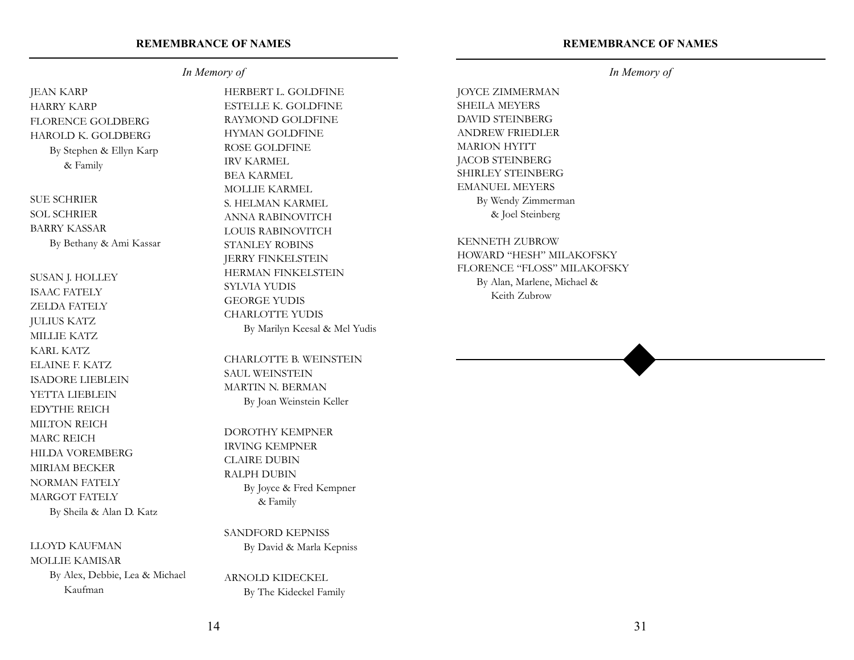#### **REMEMBRANCE OF NAMES**

#### *In Memory of*

JEAN KARP HARRY KARP FLORENCE GOLDBERG HAROLD K. GOLDBERG By Stephen & Ellyn Karp & Family

SUE SCHRIER SOL SCHRIER BARRY KASSAR By Bethany & Ami Kassar

SUSAN J. HOLLEY ISAAC FATELY ZELDA FATELY JULIUS KATZ MILLIE KATZ KARL KATZ ELAINE F. KATZ ISADORE LIEBLEIN YETTA LIEBLEIN EDYTHE REICH MILTON REICH MARC REICH HILDA VOREMBERG MIRIAM BECKER NORMAN FATELY MARGOT FATELY By Sheila & Alan D. Katz

#### LLOYD KAUFMAN

MOLLIE KAMISAR By Alex, Debbie, Lea & Michael Kaufman

HERBERT L. GOLDFINE ESTELLE K. GOLDFINE RAYMOND GOLDFINE HYMAN GOLDFINE ROSE GOLDFINE IRV KARMEL BEA KARMEL MOLLIE KARMEL S. HELMAN KARMEL ANNA RABINOVITCH LOUIS RABINOVITCH STANLEY ROBINS JERRY FINKELSTEIN HERMAN FINKELSTEIN SYLVIA YUDIS GEORGE YUDIS CHARLOTTE YUDIS By Marilyn Keesal & Mel Yudis

CHARLOTTE B. WEINSTEIN SAUL WEINSTEIN MARTIN N. BERMAN By Joan Weinstein Keller

DOROTHY KEMPNER IRVING KEMPNER CLAIRE DUBIN RALPH DUBIN By Joyce & Fred Kempner & Family

SANDFORD KEPNISS By David & Marla Kepniss

ARNOLD KIDECKEL By The Kideckel Family

## *In Memory of*

JOYCE ZIMMERMAN SHEILA MEYERS DAVID STEINBERG ANDREW FRIEDLER MARION HYITT JACOB STEINBERG SHIRLEY STEINBERG EMANUEL MEYERS By Wendy Zimmerman & Joel Steinberg

KENNETH ZUBROW HOWARD "HESH" MILAKOFSKY FLORENCE "FLOSS" MILAKOFSKY By Alan, Marlene, Michael & Keith Zubrow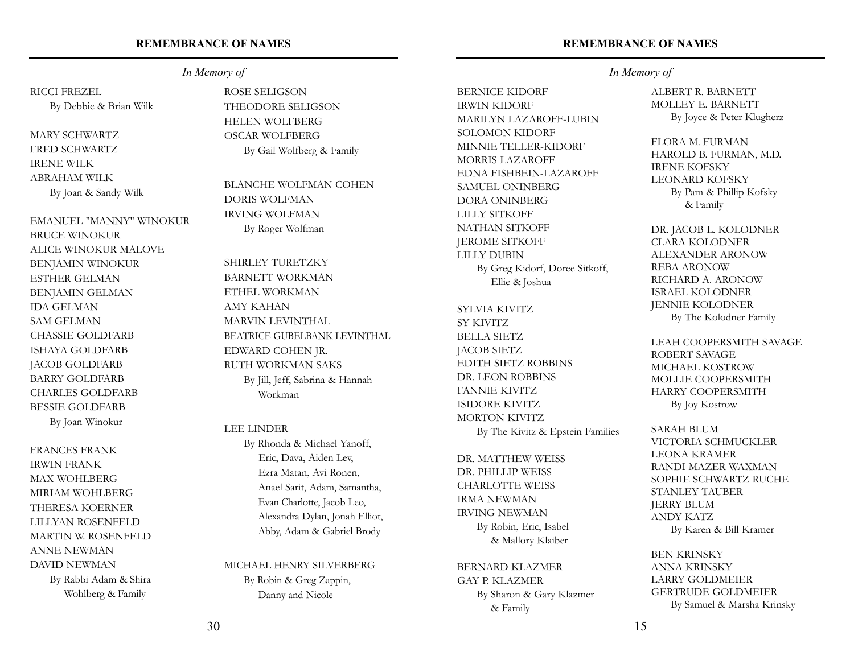## RICCI FREZEL

By Debbie & Brian Wilk

MARY SCHWARTZ FRED SCHWARTZ IRENE WILK ABRAHAM WILK By Joan & Sandy Wilk

EMANUEL "MANNY" WINOKUR BRUCE WINOKUR ALICE WINOKUR MALOVE BENJAMIN WINOKUR ESTHER GELMAN BENJAMIN GELMAN IDA GELMAN SAM GELMAN CHASSIE GOLDFARB ISHAYA GOLDFARB JACOB GOLDFARB BARRY GOLDFARB CHARLES GOLDFARB BESSIE GOLDFARB By Joan Winokur

FRANCES FRANK IRWIN FRANK MAX WOHLBERG MIRIAM WOHLBERG THERESA KOERNER LILLYAN ROSENFELD MARTIN W. ROSENFELD ANNE NEWMAN DAVID NEWMAN By Rabbi Adam & Shira Wohlberg & Family

# *In Memory of*

ROSE SELIGSON THEODORE SELIGSON HELEN WOLFBERG OSCAR WOLFBERG By Gail Wolfberg & Family

BLANCHE WOLFMAN COHEN DORIS WOLFMAN IRVING WOLFMAN By Roger Wolfman

SHIRLEY TURETZKY BARNETT WORKMAN ETHEL WORKMAN AMY KAHAN MARVIN LEVINTHAL BEATRICE GUBELBANK LEVINTHAL EDWARD COHEN JR. RUTH WORKMAN SAKS By Jill, Jeff, Sabrina & Hannah Workman

#### LEE LINDER

By Rhonda & Michael Yanoff, Eric, Dava, Aiden Lev, Ezra Matan, Avi Ronen, Anael Sarit, Adam, Samantha, Evan Charlotte, Jacob Leo, Alexandra Dylan, Jonah Elliot, Abby, Adam & Gabriel Brody

MICHAEL HENRY SILVERBERG By Robin & Greg Zappin, Danny and Nicole

## **REMEMBRANCE OF NAMES**

BERNICE KIDORF IRWIN KIDORF MARILYN LAZAROFF-LUBIN SOLOMON KIDORF MINNIE TELLER-KIDORF MORRIS LAZAROFF EDNA FISHBEIN-LAZAROFF SAMUEL ONINBERG DORA ONINBERG LILLY SITKOFF NATHAN SITKOFF JEROME SITKOFF LILLY DUBIN By Greg Kidorf, Doree Sitkoff, Ellie & Joshua

SYLVIA KIVITZ SY KIVITZ BELLA SIETZ JACOB SIETZ EDITH SIETZ ROBBINS DR. LEON ROBBINS FANNIE KIVITZ ISIDORE KIVITZ MORTON KIVITZ By The Kivitz & Epstein Families

DR. MATTHEW WEISS DR. PHILLIP WEISS CHARLOTTE WEISS IRMA NEWMAN IRVING NEWMAN By Robin, Eric, Isabel & Mallory Klaiber

BERNARD KLAZMER GAY P. KLAZMER By Sharon & Gary Klazmer & Family

## *In Memory of*

ALBERT R. BARNETT MOLLEY E. BARNETT By Joyce & Peter Klugherz

FLORA M. FURMAN HAROLD B. FURMAN, M.D. IRENE KOFSKY LEONARD KOFSKY By Pam & Phillip Kofsky & Family

DR. JACOB L. KOLODNER CLARA KOLODNER ALEXANDER ARONOW REBA ARONOW RICHARD A. ARONOW ISRAEL KOLODNER JENNIE KOLODNER By The Kolodner Family

LEAH COOPERSMITH SAVAGE ROBERT SAVAGE MICHAEL KOSTROW MOLLIE COOPERSMITH HARRY COOPERSMITH By Joy Kostrow

SARAH BLUM VICTORIA SCHMUCKLER LEONA KRAMER RANDI MAZER WAXMAN SOPHIE SCHWARTZ RUCHE STANLEY TAUBER JERRY BLUM ANDY KATZ By Karen & Bill Kramer

BEN KRINSKY ANNA KRINSKY LARRY GOLDMEIER GERTRUDE GOLDMEIER By Samuel & Marsha Krinsky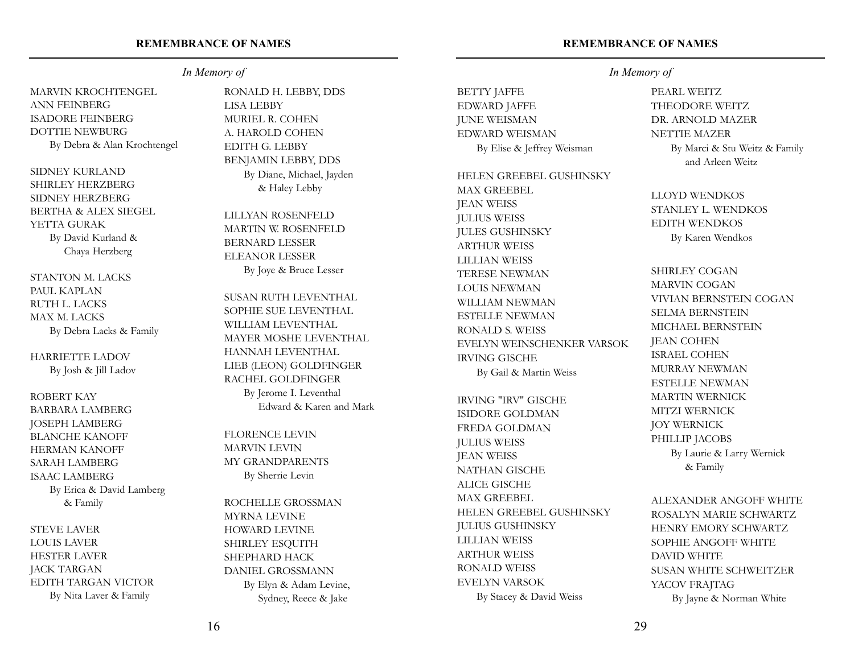## MARVIN KROCHTENGEL ANN FEINBERG ISADORE FEINBERG DOTTIE NEWBURG By Debra & Alan Krochtengel

SIDNEY KURLAND SHIRLEY HERZBERG SIDNEY HERZBERG BERTHA & ALEX SIEGEL YETTA GURAK By David Kurland & Chaya Herzberg

STANTON M. LACKS PAUL KAPLAN RUTH L. LACKS MAX M. LACKS By Debra Lacks & Family

HARRIETTE LADOV By Josh & Jill Ladov

ROBERT KAY BARBARA LAMBERG JOSEPH LAMBERG BLANCHE KANOFF HERMAN KANOFF SARAH LAMBERG ISAAC LAMBERG By Erica & David Lamberg & Family

STEVE LAVER LOUIS LAVER HESTER LAVER JACK TARGAN EDITH TARGAN VICTOR By Nita Laver & Family

*In Memory of*

RONALD H. LEBBY, DDS LISA LEBBY MURIEL R. COHEN A. HAROLD COHEN EDITH G. LEBBY BENJAMIN LEBBY, DDS By Diane, Michael, Jayden & Haley Lebby

LILLYAN ROSENFELD MARTIN W. ROSENFELD BERNARD LESSER ELEANOR LESSER By Joye & Bruce Lesser

SUSAN RUTH LEVENTHAL SOPHIE SUE LEVENTHAL WILLIAM LEVENTHAL MAYER MOSHE LEVENTHAL HANNAH LEVENTHAL LIEB (LEON) GOLDFINGER RACHEL GOLDFINGER By Jerome I. Leventhal Edward & Karen and Mark

FLORENCE LEVIN MARVIN LEVIN MY GRANDPARENTS By Sherrie Levin

ROCHELLE GROSSMAN MYRNA LEVINE HOWARD LEVINE SHIRLEY ESQUITH SHEPHARD HACK DANIEL GROSSMANN By Elyn & Adam Levine, Sydney, Reece & Jake

#### **REMEMBRANCE OF NAMES**

EDWARD JAFFE JUNE WEISMAN EDWARD WEISMAN By Elise & Jeffrey Weisman

BETTY JAFFE

HELEN GREEBEL GUSHINSKY

MAX GREEBEL JEAN WEISS JULIUS WEISS JULES GUSHINSKY ARTHUR WEISS LILLIAN WEISS TERESE NEWMAN LOUIS NEWMAN WILLIAM NEWMAN ESTELLE NEWMAN RONALD S. WEISS EVELYN WEINSCHENKER VARSOK IRVING GISCHE

By Gail & Martin Weiss

IRVING "IRV" GISCHE ISIDORE GOLDMAN FREDA GOLDMAN JULIUS WEISS JEAN WEISS NATHAN GISCHE ALICE GISCHE MAX GREEBEL HELEN GREEBEL GUSHINSKY JULIUS GUSHINSKY LILLIAN WEISS ARTHUR WEISS RONALD WEISS EVELYN VARSOK By Stacey & David Weiss

### *In Memory of*

PEARL WEITZ THEODORE WEITZ DR. ARNOLD MAZER NETTIE MAZER By Marci & Stu Weitz & Family and Arleen Weitz

LLOYD WENDKOS STANLEY L. WENDKOS EDITH WENDKOS By Karen Wendkos

SHIRLEY COGAN MARVIN COGAN VIVIAN BERNSTEIN COGAN SELMA BERNSTEIN MICHAEL BERNSTEIN JEAN COHEN ISRAEL COHEN MURRAY NEWMAN ESTELLE NEWMAN MARTIN WERNICK MITZI WERNICK JOY WERNICK PHILLIP JACOBS By Laurie & Larry Wernick & Family

ALEXANDER ANGOFF WHITE ROSALYN MARIE SCHWARTZ HENRY EMORY SCHWARTZ SOPHIE ANGOFF WHITE DAVID WHITE SUSAN WHITE SCHWEITZER YACOV FRAJTAG By Jayne & Norman White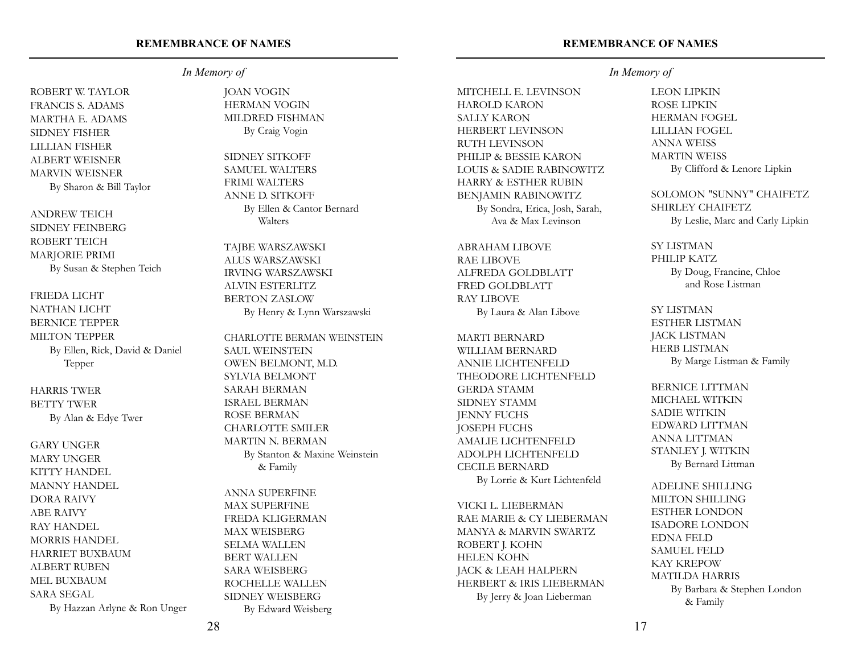*In Memory of*

ROBERT W. TAYLOR FRANCIS S. ADAMS MARTHA E. ADAMS SIDNEY FISHER LILLIAN FISHER ALBERT WEISNER MARVIN WEISNER By Sharon & Bill Taylor

ANDREW TEICH SIDNEY FEINBERG ROBERT TEICH MARJORIE PRIMI By Susan & Stephen Teich

FRIEDA LICHT NATHAN LICHT BERNICE TEPPER MILTON TEPPER By Ellen, Rick, David & Daniel Tepper

HARRIS TWER BETTY TWER By Alan & Edye Twer

GARY UNGER MARY UNGER KITTY HANDEL MANNY HANDEL DORA RAIVY ABE RAIVY RAY HANDEL MORRIS HANDEL HARRIET BUXBAUM ALBERT RUBEN MEL BUXBAUM SARA SEGAL By Hazzan Arlyne & Ron Unger

JOAN VOGIN HERMAN VOGIN MILDRED FISHMAN

By Craig Vogin

SIDNEY SITKOFF SAMUEL WALTERS FRIMI WALTERS ANNE D. SITKOFF By Ellen & Cantor Bernard Walters

TAJBE WARSZAWSKI ALUS WARSZAWSKI IRVING WARSZAWSKI ALVIN ESTERLITZ BERTON ZASLOW By Henry & Lynn Warszawski

CHARLOTTE BERMAN WEINSTEIN SAUL WEINSTEIN OWEN BELMONT, M.D. SYLVIA BELMONT SARAH BERMAN ISRAEL BERMAN ROSE BERMAN CHARLOTTE SMILER MARTIN N. BERMAN By Stanton & Maxine Weinstein & Family

ANNA SUPERFINE MAX SUPERFINE FREDA KLIGERMAN MAX WEISBERG SELMA WALLEN BERT WALLEN SARA WEISBERG ROCHELLE WALLEN SIDNEY WEISBERG By Edward Weisberg

#### **REMEMBRANCE OF NAMES**

## *In Memory of*

MITCHELL E. LEVINSON HAROLD KARON SALLY KARON HERBERT LEVINSON RUTH LEVINSON PHILIP & BESSIE KARON LOUIS & SADIE RABINOWITZ HARRY & ESTHER RUBIN BENJAMIN RABINOWITZ By Sondra, Erica, Josh, Sarah, Ava & Max Levinson

ABRAHAM LIBOVE RAE LIBOVE ALFREDA GOLDBLATT FRED GOLDBLATT RAY LIBOVE By Laura & Alan Libove

MARTI BERNARD WILLIAM BERNARD ANNIE LICHTENFELD THEODORE LICHTENFELD GERDA STAMM SIDNEY STAMM JENNY FUCHS JOSEPH FUCHS AMALIE LICHTENFELD ADOLPH LICHTENFELD CECILE BERNARD By Lorrie & Kurt Lichtenfeld

VICKI L. LIEBERMAN RAE MARIE & CY LIEBERMAN MANYA & MARVIN SWARTZ ROBERT J. KOHN HELEN KOHN JACK & LEAH HALPERN HERBERT & IRIS LIEBERMAN By Jerry & Joan Lieberman

LEON LIPKIN ROSE LIPKIN HERMAN FOGEL LILLIAN FOGEL ANNA WEISS MARTIN WEISS By Clifford & Lenore Lipkin

SOLOMON "SUNNY" CHAIFETZ SHIRLEY CHAIFETZ By Leslie, Marc and Carly Lipkin

#### SY LISTMAN

PHILIP KATZ By Doug, Francine, Chloe and Rose Listman

SY LISTMAN ESTHER LISTMAN JACK LISTMAN HERB LISTMAN By Marge Listman & Family

BERNICE LITTMAN MICHAEL WITKIN SADIE WITKIN EDWARD LITTMAN ANNA LITTMAN STANLEY J. WITKIN By Bernard Littman

ADELINE SHILLING MILTON SHILLING ESTHER LONDON ISADORE LONDON EDNA FELD SAMUEL FELD KAY KREPOW MATILDA HARRIS By Barbara & Stephen London & Family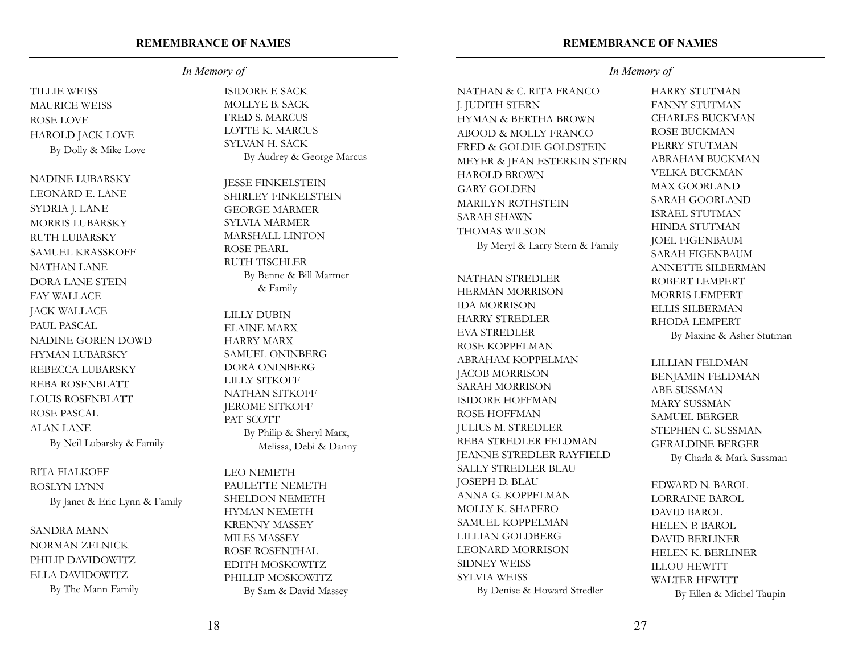#### **REMEMBRANCE OF NAMES**

#### *In Memory of*

TILLIE WEISS MAURICE WEISS ROSE LOVE HAROLD JACK LOVE By Dolly & Mike Love

NADINE LUBARSKY LEONARD E. LANE SYDRIA J. LANE MORRIS LUBARSKY RUTH LUBARSKY SAMUEL KRASSKOFF NATHAN LANE DORA LANE STEIN FAY WALLACE JACK WALLACE PAUL PASCAL NADINE GOREN DOWD HYMAN LUBARSKY REBECCA LUBARSKY REBA ROSENBLATT LOUIS ROSENBLATT ROSE PASCAL ALAN LANE By Neil Lubarsky & Family

#### RITA FIALKOFF

ROSLYN LYNN By Janet & Eric Lynn & Family

SANDRA MANN NORMAN ZELNICK PHILIP DAVIDOWITZ ELLA DAVIDOWITZ By The Mann Family

ISIDORE F. SACK MOLLYE B. SACK FRED S. MARCUS LOTTE K. MARCUS SYLVAN H. SACK By Audrey & George Marcus

JESSE FINKELSTEIN SHIRLEY FINKELSTEIN GEORGE MARMER SYLVIA MARMER MARSHALL LINTON ROSE PEARL RUTH TISCHLER By Benne & Bill Marmer & Family

LILLY DUBIN ELAINE MARX HARRY MARX SAMUEL ONINBERG DORA ONINBERG LILLY SITKOFF NATHAN SITKOFF JEROME SITKOFF PAT SCOTT By Philip & Sheryl Marx, Melissa, Debi & Danny

LEO NEMETH PAULETTE NEMETH SHELDON NEMETH HYMAN NEMETH KRENNY MASSEY MILES MASSEY ROSE ROSENTHAL EDITH MOSKOWITZ PHILLIP MOSKOWITZ By Sam & David Massey

## *In Memory of*

NATHAN & C. RITA FRANCO J. JUDITH STERN HYMAN & BERTHA BROWN ABOOD & MOLLY FRANCO FRED & GOLDIE GOLDSTEIN MEYER & JEAN ESTERKIN STERN HAROLD BROWN GARY GOLDEN MARILYN ROTHSTEIN SARAH SHAWN THOMAS WILSON By Meryl & Larry Stern & Family

NATHAN STREDLER HERMAN MORRISON IDA MORRISON HARRY STREDLER EVA STREDLER ROSE KOPPELMAN ABRAHAM KOPPELMAN JACOB MORRISON SARAH MORRISON ISIDORE HOFFMAN ROSE HOFFMAN JULIUS M. STREDLER REBA STREDLER FELDMAN JEANNE STREDLER RAYFIELD SALLY STREDLER BLAU JOSEPH D. BLAU ANNA G. KOPPELMAN MOLLY K. SHAPERO SAMUEL KOPPELMAN LILLIAN GOLDBERG LEONARD MORRISON SIDNEY WEISS SYLVIA WEISS By Denise & Howard Stredler

HARRY STUTMAN FANNY STUTMAN CHARLES BUCKMAN ROSE BUCKMAN PERRY STUTMAN ABRAHAM BUCKMAN VELKA BUCKMAN MAX GOORLAND SARAH GOORLAND ISRAEL STUTMAN HINDA STUTMAN JOEL FIGENBAUM SARAH FIGENBAUM ANNETTE SILBERMAN ROBERT LEMPERT MORRIS LEMPERT ELLIS SILBERMAN RHODA LEMPERT By Maxine & Asher Stutman

## LILLIAN FELDMAN BENJAMIN FELDMAN ABE SUSSMAN MARY SUSSMAN SAMUEL BERGER STEPHEN C. SUSSMAN GERALDINE BERGER By Charla & Mark Sussman

EDWARD N. BAROL LORRAINE BAROL DAVID BAROL HELEN P. BAROL DAVID BERLINER HELEN K. BERLINER ILLOU HEWITT WALTER HEWITT By Ellen & Michel Taupin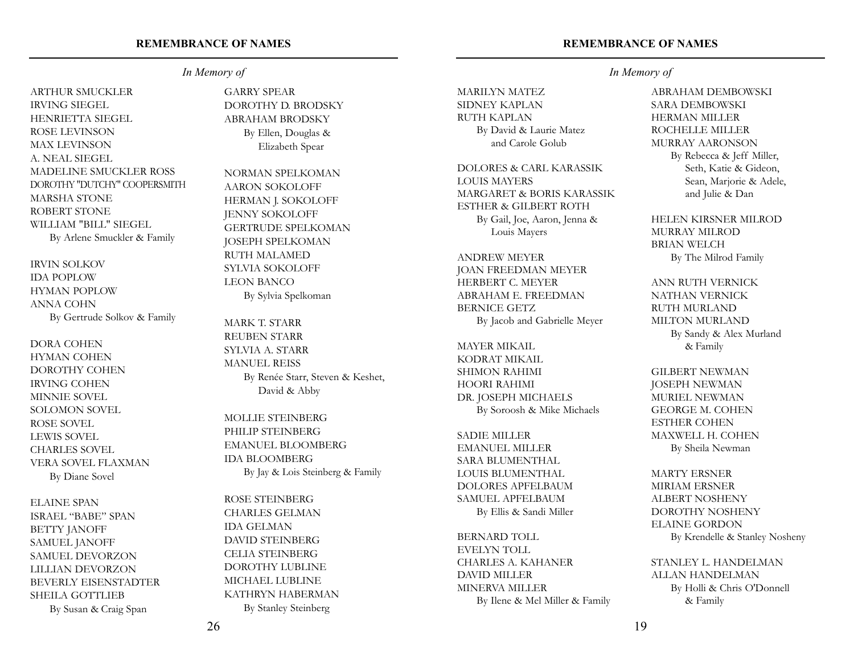#### **REMEMBRANCE OF NAMES**

#### *In Memory of*

ARTHUR SMUCKLER IRVING SIEGEL HENRIETTA SIEGEL ROSE LEVINSON MAX LEVINSON A. NEAL SIEGEL MADELINE SMUCKLER ROSS DOROTHY "DUTCHY" COOPERSMITH MARSHA STONE ROBERT STONE WILLIAM "BILL" SIEGEL By Arlene Smuckler & Family

IRVIN SOLKOV IDA POPLOW HYMAN POPLOW ANNA COHN By Gertrude Solkov & Family

DORA COHEN HYMAN COHEN DOROTHY COHEN IRVING COHEN MINNIE SOVEL SOLOMON SOVEL ROSE SOVEL LEWIS SOVEL CHARLES SOVEL VERA SOVEL FLAXMAN By Diane Sovel

ELAINE SPAN ISRAEL "BABE" SPAN BETTY JANOFF SAMUEL JANOFF SAMUEL DEVORZON LILLIAN DEVORZON BEVERLY EISENSTADTER SHEILA GOTTLIEB By Susan & Craig Span

GARRY SPEAR DOROTHY D. BRODSKY ABRAHAM BRODSKY By Ellen, Douglas & Elizabeth Spear

NORMAN SPELKOMAN AARON SOKOLOFF HERMAN J. SOKOLOFF JENNY SOKOLOFF GERTRUDE SPELKOMAN JOSEPH SPELKOMAN RUTH MALAMED SYLVIA SOKOLOFF LEON BANCO By Sylvia Spelkoman

MARK T. STARR REUBEN STARR SYLVIA A. STARR MANUEL REISS By Renée Starr, Steven & Keshet, David & Abby

MOLLIE STEINBERG PHILIP STEINBERG EMANUEL BLOOMBERG IDA BLOOMBERG By Jay & Lois Steinberg & Family

ROSE STEINBERG CHARLES GELMAN IDA GELMAN DAVID STEINBERG CELIA STEINBERG DOROTHY LUBLINE MICHAEL LUBLINE KATHRYN HABERMAN By Stanley Steinberg

## *In Memory of*

MARILYN MATEZ SIDNEY KAPLAN RUTH KAPLAN By David & Laurie Matez and Carole Golub

DOLORES & CARL KARASSIK LOUIS MAYERS MARGARET & BORIS KARASSIK ESTHER & GILBERT ROTH By Gail, Joe, Aaron, Jenna & Louis Mayers

ANDREW MEYER JOAN FREEDMAN MEYER HERBERT C. MEYER ABRAHAM E. FREEDMAN BERNICE GETZ By Jacob and Gabrielle Meyer

MAYER MIKAIL KODRAT MIKAIL SHIMON RAHIMI HOORI RAHIMI DR. JOSEPH MICHAELS By Soroosh & Mike Michaels

SADIE MILLER EMANUEL MILLER SARA BLUMENTHAL LOUIS BLUMENTHAL DOLORES APFELBAUM SAMUEL APFELBAUM By Ellis & Sandi Miller

BERNARD TOLL EVELYN TOLL CHARLES A. KAHANER DAVID MILLER MINERVA MILLER By Ilene & Mel Miller & Family ABRAHAM DEMBOWSKI SARA DEMBOWSKI HERMAN MILLER ROCHELLE MILLER MURRAY AARONSON By Rebecca & Jeff Miller, Seth, Katie & Gideon,

and Julie & Dan HELEN KIRSNER MILROD MURRAY MILROD BRIAN WELCH

Sean, Marjorie & Adele,

By The Milrod Family

ANN RUTH VERNICK NATHAN VERNICK RUTH MURLAND MILTON MURLAND By Sandy & Alex Murland & Family

GILBERT NEWMAN JOSEPH NEWMAN MURIEL NEWMAN GEORGE M. COHEN ESTHER COHEN MAXWELL H. COHEN By Sheila Newman

MARTY ERSNER MIRIAM ERSNER ALBERT NOSHENY DOROTHY NOSHENY ELAINE GORDON By Krendelle & Stanley Nosheny

STANLEY L. HANDELMAN ALLAN HANDELMAN By Holli & Chris O'Donnell & Family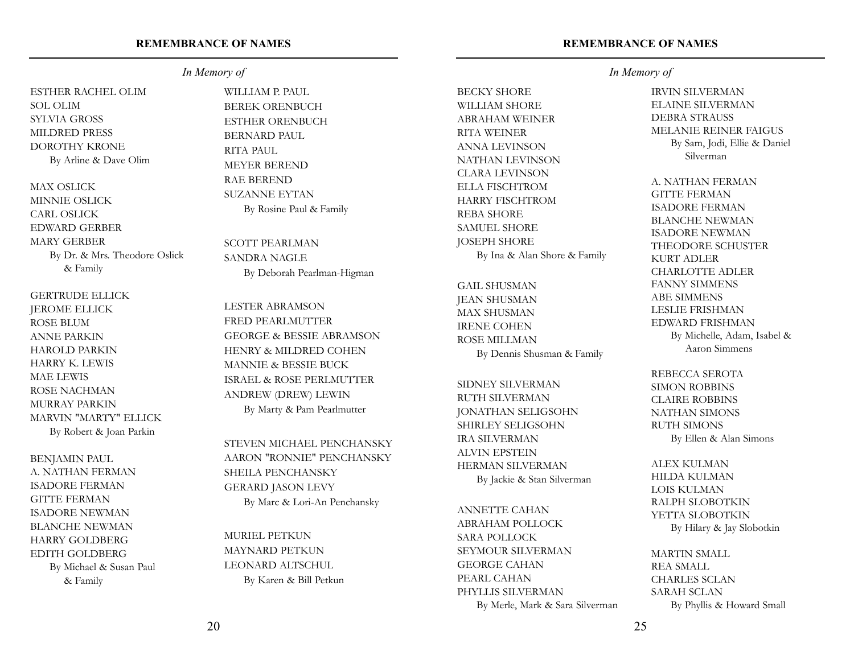## ESTHER RACHEL OLIM SOL OLIM SYLVIA GROSS MILDRED PRESS DOROTHY KRONE By Arline & Dave Olim

MAX OSLICK MINNIE OSLICK CARL OSLICK EDWARD GERBER MARY GERBER By Dr. & Mrs. Theodore Oslick & Family

GERTRUDE ELLICK JEROME ELLICK ROSE BLUM ANNE PARKIN HAROLD PARKIN HARRY K. LEWIS MAE LEWIS ROSE NACHMAN MURRAY PARKIN MARVIN "MARTY" ELLICK By Robert & Joan Parkin

BENJAMIN PAUL A. NATHAN FERMAN ISADORE FERMAN GITTE FERMAN ISADORE NEWMAN BLANCHE NEWMAN HARRY GOLDBERG EDITH GOLDBERG By Michael & Susan Paul & Family

*In Memory of*

WILLIAM P. PAUL BEREK ORENBUCH ESTHER ORENBUCH BERNARD PAUL RITA PAUL MEYER BEREND RAE BEREND SUZANNE EYTAN By Rosine Paul & Family

SCOTT PEARLMAN SANDRA NAGLE By Deborah Pearlman-Higman

LESTER ABRAMSON FRED PEARLMUTTER GEORGE & BESSIE ABRAMSON HENRY & MILDRED COHEN MANNIE & BESSIE BUCK ISRAEL & ROSE PERLMUTTER ANDREW (DREW) LEWIN By Marty & Pam Pearlmutter

STEVEN MICHAEL PENCHANSKY AARON "RONNIE" PENCHANSKY SHEILA PENCHANSKY GERARD JASON LEVY By Marc & Lori-An Penchansky

MURIEL PETKUN MAYNARD PETKUN LEONARD ALTSCHUL By Karen & Bill Petkun

#### **REMEMBRANCE OF NAMES**

BECKY SHORE WILLIAM SHORE ABRAHAM WEINER RITA WEINER ANNA LEVINSON NATHAN LEVINSON CLARA LEVINSON ELLA FISCHTROM HARRY FISCHTROM REBA SHORE SAMUEL SHORE JOSEPH SHORE By Ina & Alan Shore & Family

GAIL SHUSMAN JEAN SHUSMAN MAX SHUSMAN IRENE COHEN ROSE MILLMAN By Dennis Shusman & Family

SIDNEY SILVERMAN RUTH SILVERMAN JONATHAN SELIGSOHN SHIRLEY SELIGSOHN IRA SILVERMAN ALVIN EPSTEIN HERMAN SILVERMAN By Jackie & Stan Silverman

ANNETTE CAHAN ABRAHAM POLLOCK SARA POLLOCK SEYMOUR SILVERMAN GEORGE CAHAN PEARL CAHAN PHYLLIS SILVERMAN By Merle, Mark & Sara Silverman

#### *In Memory of*

IRVIN SILVERMAN ELAINE SILVERMAN DEBRA STRAUSS MELANIE REINER FAIGUS By Sam, Jodi, Ellie & Daniel Silverman

A. NATHAN FERMAN GITTE FERMAN ISADORE FERMAN BLANCHE NEWMAN ISADORE NEWMAN THEODORE SCHUSTER KURT ADLER CHARLOTTE ADLER FANNY SIMMENS ABE SIMMENS LESLIE FRISHMAN EDWARD FRISHMAN By Michelle, Adam, Isabel & Aaron Simmens

REBECCA SEROTA SIMON ROBBINS CLAIRE ROBBINS NATHAN SIMONS RUTH SIMONS By Ellen & Alan Simons

ALEX KULMAN HILDA KULMAN LOIS KULMAN RALPH SLOBOTKIN YETTA SLOBOTKIN By Hilary & Jay Slobotkin

MARTIN SMALL REA SMALL CHARLES SCLAN SARAH SCLAN By Phyllis & Howard Small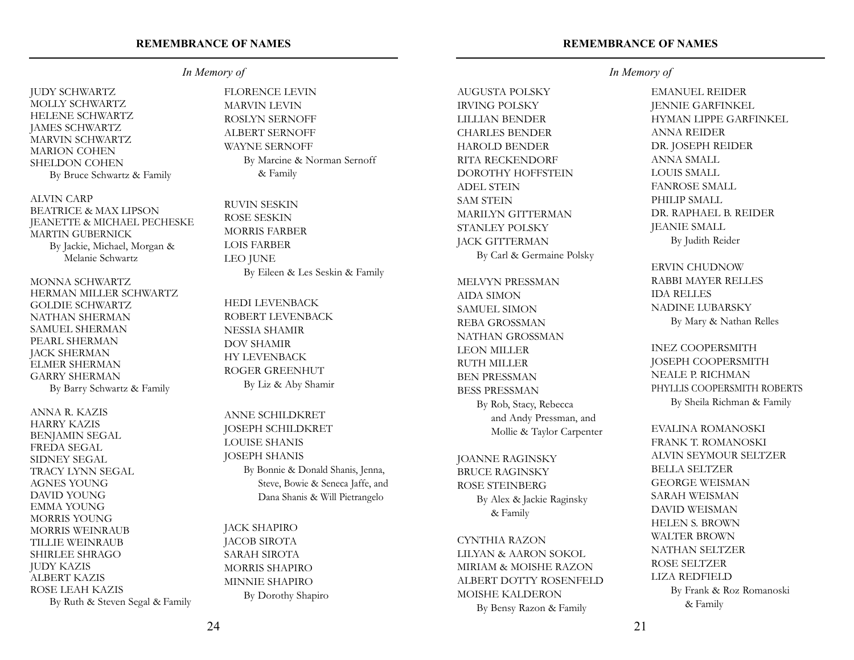## *In Memory of*

JUDY SCHWARTZ MOLLY SCHWARTZ HELENE SCHWARTZ JAMES SCHWARTZ MARVIN SCHWARTZ MARION COHEN SHELDON COHEN By Bruce Schwartz & Family

ALVIN CARP BEATRICE & MAX LIPSON JEANETTE & MICHAEL PECHESKE MARTIN GUBERNICK By Jackie, Michael, Morgan & Melanie Schwartz

MONNA SCHWARTZ HERMAN MILLER SCHWARTZ GOLDIE SCHWARTZ NATHAN SHERMAN SAMUEL SHERMAN PEARL SHERMAN JACK SHERMAN ELMER SHERMAN GARRY SHERMAN By Barry Schwartz & Family

ANNA R. KAZIS HARRY KAZIS BENJAMIN SEGAL FREDA SEGAL SIDNEY SEGAL TRACY LYNN SEGAL AGNES YOUNG DAVID YOUNG EMMA YOUNG MORRIS YOUNG MORRIS WEINRAUB TILLIE WEINRAUB SHIRLEE SHRAGO JUDY KAZIS ALBERT KAZIS ROSE LEAH KAZIS By Ruth & Steven Segal & Family FLORENCE LEVIN MARVIN LEVIN ROSLYN SERNOFF ALBERT SERNOFF WAYNE SERNOFF By Marcine & Norman Sernoff

& Family

RUVIN SESKIN ROSE SESKIN MORRIS FARBER LOIS FARBER LEO JUNE By Eileen & Les Seskin & Family

HEDI LEVENBACK ROBERT LEVENBACK NESSIA SHAMIR DOV SHAMIR HY LEVENBACK ROGER GREENHUT By Liz & Aby Shamir

ANNE SCHILDKRET JOSEPH SCHILDKRET LOUISE SHANIS JOSEPH SHANIS By Bonnie & Donald Shanis, Jenna, Steve, Bowie & Seneca Jaffe, and Dana Shanis & Will Pietrangelo

JACK SHAPIRO JACOB SIROTA SARAH SIROTA MORRIS SHAPIRO MINNIE SHAPIRO By Dorothy Shapiro

#### **REMEMBRANCE OF NAMES**

AUGUSTA POLSKY IRVING POLSKY LILLIAN BENDER CHARLES BENDER HAROLD BENDER RITA RECKENDORF DOROTHY HOFFSTEIN ADEL STEIN SAM STEIN MARILYN GITTERMAN STANLEY POLSKY JACK GITTERMAN By Carl & Germaine Polsky

MELVYN PRESSMAN AIDA SIMON SAMUEL SIMON REBA GROSSMAN NATHAN GROSSMAN LEON MILLER RUTH MILLER BEN PRESSMAN BESS PRESSMAN By Rob, Stacy, Rebecca and Andy Pressman, and Mollie & Taylor Carpenter

JOANNE RAGINSKY BRUCE RAGINSKY ROSE STEINBERG By Alex & Jackie Raginsky & Family

CYNTHIA RAZON LILYAN & AARON SOKOL MIRIAM & MOISHE RAZON ALBERT DOTTY ROSENFELD MOISHE KALDERON By Bensy Razon & Family

## *In Memory of*

EMANUEL REIDER JENNIE GARFINKEL HYMAN LIPPE GARFINKEL ANNA REIDER DR. JOSEPH REIDER ANNA SMALL LOUIS SMALL FANROSE SMALL PHILIP SMALL DR. RAPHAEL B. REIDER JEANIE SMALL By Judith Reider

ERVIN CHUDNOW RABBI MAYER RELLES IDA RELLES NADINE LUBARSKY By Mary & Nathan Relles

INEZ COOPERSMITH JOSEPH COOPERSMITH NEALE P. RICHMAN PHYLLIS COOPERSMITH ROBERTS By Sheila Richman & Family

EVALINA ROMANOSKI FRANK T. ROMANOSKI ALVIN SEYMOUR SELTZER BELLA SELTZER GEORGE WEISMAN SARAH WEISMAN DAVID WEISMAN HELEN S. BROWN WALTER BROWN NATHAN SELTZER ROSE SELTZER LIZA REDFIELD By Frank & Roz Romanoski & Family